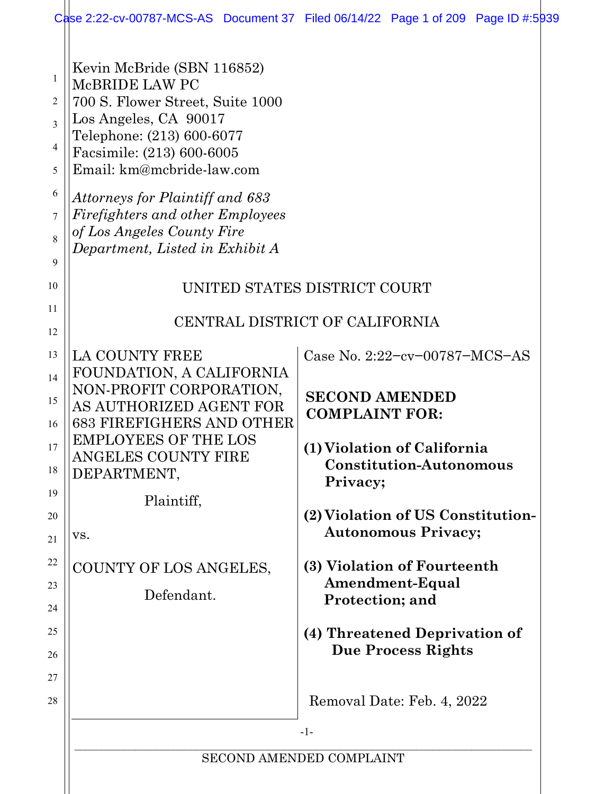|                                                    | Case 2:22-cv-00787-MCS-AS Document 37 Filed 06/14/22 Page 1 of 209 Page ID #:5939 |
|----------------------------------------------------|-----------------------------------------------------------------------------------|
| Kevin McBride (SBN 116852)                         |                                                                                   |
| McBRIDE LAW PC                                     |                                                                                   |
| 700 S. Flower Street, Suite 1000                   |                                                                                   |
| Los Angeles, CA 90017<br>Telephone: (213) 600-6077 |                                                                                   |
| Facsimile: (213) 600-6005                          |                                                                                   |
| Email: km@mcbride-law.com                          |                                                                                   |
| Attorneys for Plaintiff and 683                    |                                                                                   |
| Firefighters and other Employees                   |                                                                                   |
| of Los Angeles County Fire                         |                                                                                   |
| Department, Listed in Exhibit A                    |                                                                                   |
|                                                    |                                                                                   |
|                                                    | UNITED STATES DISTRICT COURT                                                      |
|                                                    | CENTRAL DISTRICT OF CALIFORNIA                                                    |
|                                                    |                                                                                   |
| LA COUNTY FREE                                     | Case No. 2:22-cv-00787-MCS-AS                                                     |
| FOUNDATION, A CALIFORNIA                           |                                                                                   |
| NON-PROFIT CORPORATION,<br>AS AUTHORIZED AGENT FOR | <b>SECOND AMENDED</b>                                                             |
| <b>683 FIREFIGHERS AND OTHER</b>                   | <b>COMPLAINT FOR:</b>                                                             |
| <b>EMPLOYEES OF THE LOS</b>                        |                                                                                   |
| <b>ANGELES COUNTY FIRE</b>                         | (1) Violation of California<br><b>Constitution-Autonomous</b>                     |
| DEPARTMENT,                                        | Privacy;                                                                          |
| Plaintiff,                                         |                                                                                   |
|                                                    | (2) Violation of US Constitution-                                                 |
| VS.                                                | <b>Autonomous Privacy;</b>                                                        |
| COUNTY OF LOS ANGELES,                             | (3) Violation of Fourteenth                                                       |
|                                                    | Amendment-Equal                                                                   |
| Defendant.                                         | Protection; and                                                                   |
|                                                    | (4) Threatened Deprivation of                                                     |
|                                                    | <b>Due Process Rights</b>                                                         |
|                                                    |                                                                                   |
|                                                    |                                                                                   |
|                                                    | Removal Date: Feb. 4, 2022                                                        |
|                                                    | $-1-$                                                                             |
|                                                    | SECOND AMENDED COMPLAINT                                                          |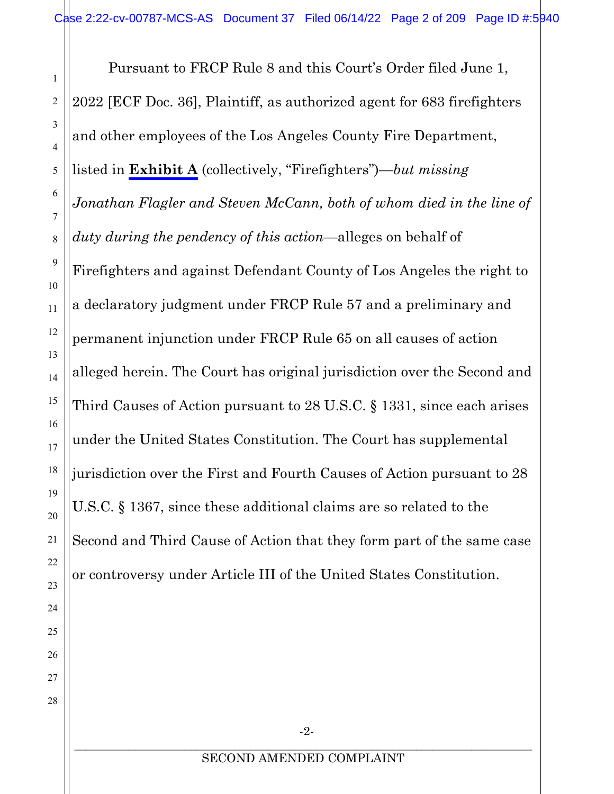1

2

3

4

5

6

7

8

9

10

11

12

13

14

15

16

17

18

19

20

21

22

23

24

25

26

27

28

Pursuant to FRCP Rule 8 and this Court's Order filed June 1, 2022 [ECF Doc. 36], Plaintiff, as authorized agent for 683 firefighters and other employees of the Los Angeles County Fire Department, listed in **Exhibit A** (collectively, "Firefighters")—*but missing Jonathan Flagler and Steven McCann, both of whom died in the line of duty during the pendency of this action—*alleges on behalf of Firefighters and against Defendant County of Los Angeles the right to a declaratory judgment under FRCP Rule 57 and a preliminary and permanent injunction under FRCP Rule 65 on all causes of action alleged herein. The Court has original jurisdiction over the Second and Third Causes of Action pursuant to 28 U.S.C. § 1331, since each arises under the United States Constitution. The Court has supplemental jurisdiction over the First and Fourth Causes of Action pursuant to 28 U.S.C. § 1367, since these additional claims are so related to the Second and Third Cause of Action that they form part of the same case or controversy under Article III of the United States Constitution.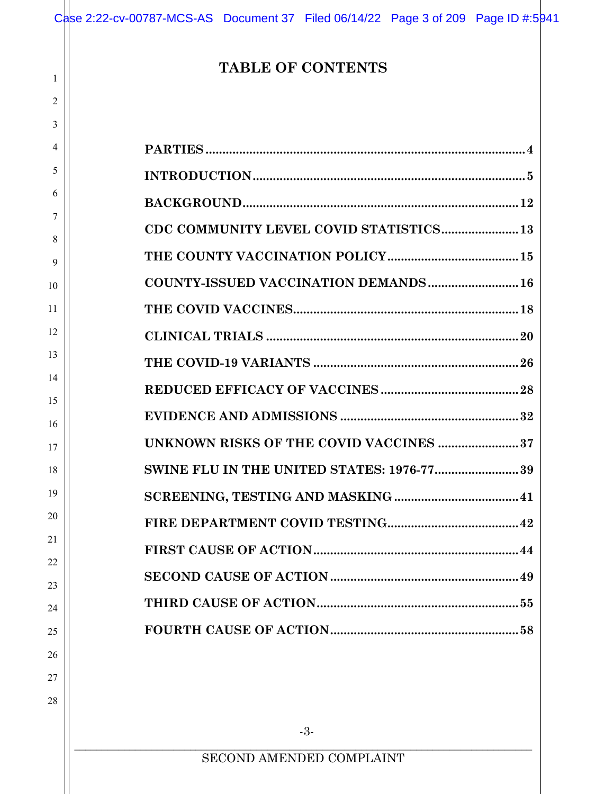# **TABLE OF CONTENTS**

1

| 3        |                                                  |
|----------|--------------------------------------------------|
| 4        |                                                  |
| 5        |                                                  |
| 6        |                                                  |
| 7<br>8   | CDC COMMUNITY LEVEL COVID STATISTICS 13          |
| 9        |                                                  |
| 10       | <b>COUNTY-ISSUED VACCINATION DEMANDS 16</b>      |
| 11       |                                                  |
| 12       |                                                  |
| 13       |                                                  |
| 14       |                                                  |
| 15<br>16 |                                                  |
| 17       | <b>UNKNOWN RISKS OF THE COVID VACCINES 37</b>    |
| 18       | <b>SWINE FLU IN THE UNITED STATES: 1976-7739</b> |
| 19       |                                                  |
| 20       |                                                  |
| 21       |                                                  |
| 22<br>23 |                                                  |
| 24       |                                                  |
| 25       |                                                  |
| 26       |                                                  |
| 27       |                                                  |
| 28       |                                                  |
|          | $-3-$                                            |
|          | SECOND AMENDED COMPLAINT                         |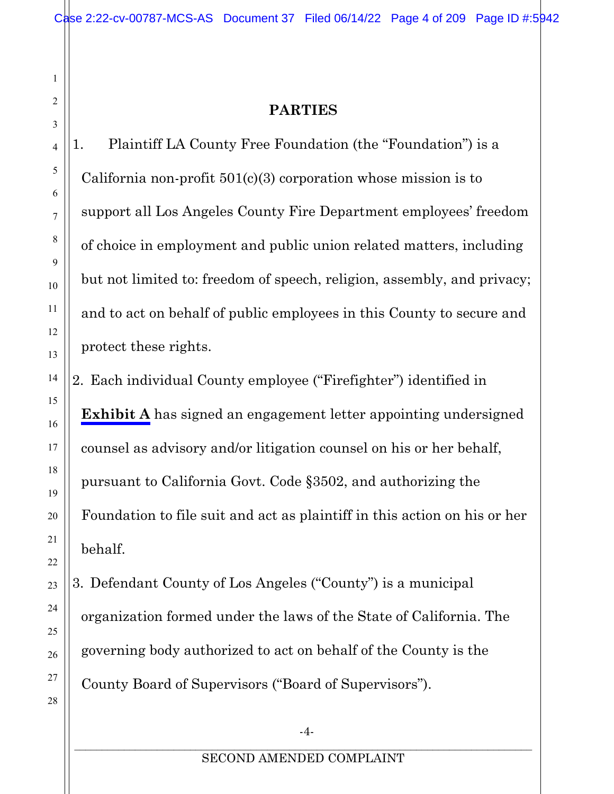# **PARTIES**

1. Plaintiff LA County Free Foundation (the "Foundation") is a California non-profit  $501(c)(3)$  corporation whose mission is to support all Los Angeles County Fire Department employees' freedom of choice in employment and public union related matters, including but not limited to: freedom of speech, religion, assembly, and privacy; and to act on behalf of public employees in this County to secure and protect these rights.

2. Each individual County employee ("Firefighter") identified in **Exhibit A** has signed an engagement letter appointing undersigned counsel as advisory and/or litigation counsel on his or her behalf, pursuant to California Govt. Code §3502, and authorizing the Foundation to file suit and act as plaintiff in this action on his or her behalf.

3. Defendant County of Los Angeles ("County") is a municipal organization formed under the laws of the State of California. The governing body authorized to act on behalf of the County is the County Board of Supervisors ("Board of Supervisors").

1

<span id="page-3-0"></span>2

3

4

5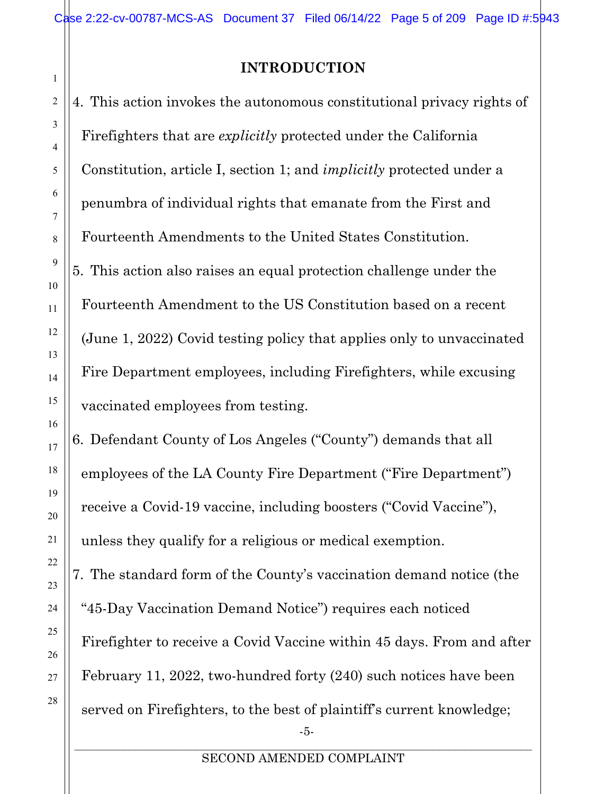# **INTRODUCTION**

<span id="page-4-0"></span>4. This action invokes the autonomous constitutional privacy rights of Firefighters that are *explicitly* protected under the California Constitution, article I, section 1; and *implicitly* protected under a penumbra of individual rights that emanate from the First and Fourteenth Amendments to the United States Constitution. 5. This action also raises an equal protection challenge under the Fourteenth Amendment to the US Constitution based on a recent (June 1, 2022) Covid testing policy that applies only to unvaccinated Fire Department employees, including Firefighters, while excusing vaccinated employees from testing.

6. Defendant County of Los Angeles ("County") demands that all employees of the LA County Fire Department ("Fire Department") receive a Covid-19 vaccine, including boosters ("Covid Vaccine"), unless they qualify for a religious or medical exemption.

7. The standard form of the County's vaccination demand notice (the "45-Day Vaccination Demand Notice") requires each noticed Firefighter to receive a Covid Vaccine within 45 days. From and after February 11, 2022, two-hundred forty (240) such notices have been served on Firefighters, to the best of plaintiff's current knowledge;

SECOND AMENDED COMPLAINT

-5-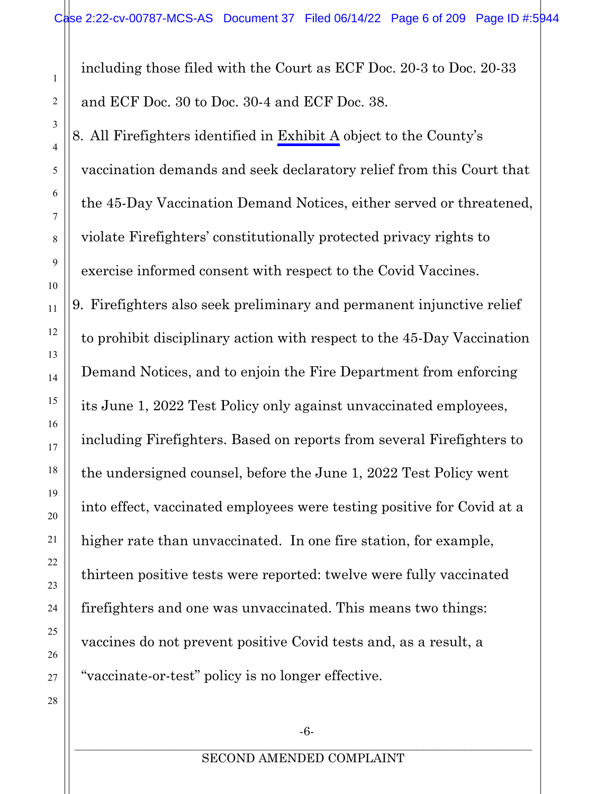including those filed with the Court as ECF Doc. 20-3 to Doc. 20-33 and ECF Doc. 30 to Doc. 30-4 and ECF Doc. 38.

8. All Firefighters identified in Exhibit A object to the County's vaccination demands and seek declaratory relief from this Court that the 45-Day Vaccination Demand Notices, either served or threatened, violate Firefighters' constitutionally protected privacy rights to exercise informed consent with respect to the Covid Vaccines.

9. Firefighters also seek preliminary and permanent injunctive relief to prohibit disciplinary action with respect to the 45-Day Vaccination Demand Notices, and to enjoin the Fire Department from enforcing its June 1, 2022 Test Policy only against unvaccinated employees, including Firefighters. Based on reports from several Firefighters to the undersigned counsel, before the June 1, 2022 Test Policy went into effect, vaccinated employees were testing positive for Covid at a higher rate than unvaccinated. In one fire station, for example, thirteen positive tests were reported: twelve were fully vaccinated firefighters and one was unvaccinated. This means two things: vaccines do not prevent positive Covid tests and, as a result, a "vaccinate-or-test" policy is no longer effective.

1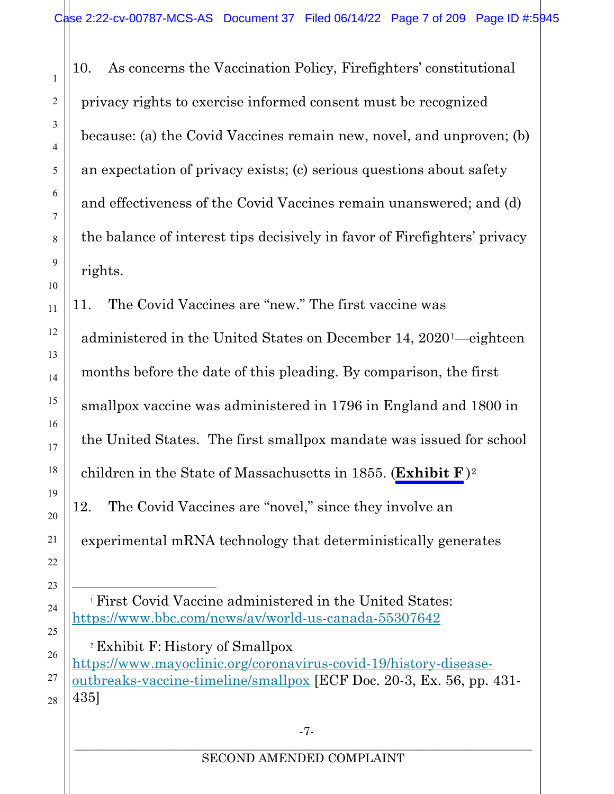10. As concerns the Vaccination Policy, Firefighters' constitutional privacy rights to exercise informed consent must be recognized because: (a) the Covid Vaccines remain new, novel, and unproven; (b) an expectation of privacy exists; (c) serious questions about safety and effectiveness of the Covid Vaccines remain unanswered; and (d) the balance of interest tips decisively in favor of Firefighters' privacy rights.

11. The Covid Vaccines are "new." The first vaccine was administered in the United States on December 14, 2020[1—](#page-6-0)eighteen months before the date of this pleading. By comparison, the first smallpox vaccine was administered in 1796 in England and 1800 in the United States. The first smallpox mandate was issued for school children in the State of Massachusetts in 1855. (**Exhibit F** )[2](#page-6-1) 12. The Covid Vaccines are "novel," since they involve an experimental mRNA technology that deterministically generates

<span id="page-6-1"></span><sup>2</sup> Exhibit F: History of Smallpox [https://www.mayoclinic.org/coronavirus-covid-19/history-disease](https://www.mayoclinic.org/coronavirus-covid-19/history-disease-outbreaks-vaccine-timeline/smallpox)[outbreaks-vaccine-timeline/smallpox](https://www.mayoclinic.org/coronavirus-covid-19/history-disease-outbreaks-vaccine-timeline/smallpox) [ECF Doc. 20-3, Ex. 56, pp. 431- 435]

<span id="page-6-0"></span><sup>1</sup> First Covid Vaccine administered in the United States: <https://www.bbc.com/news/av/world-us-canada-55307642>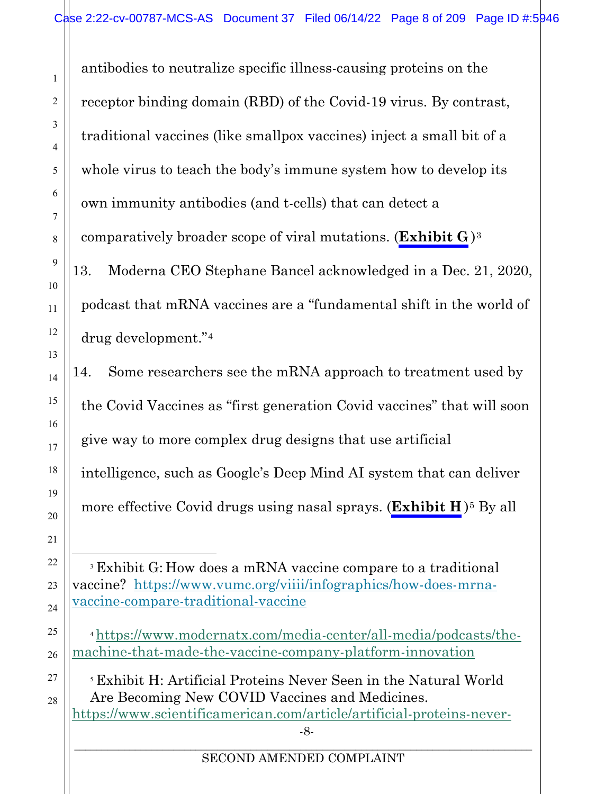antibodies to neutralize specific illness-causing proteins on the receptor binding domain (RBD) of the Covid-19 virus. By contrast, traditional vaccines (like smallpox vaccines) inject a small bit of a whole virus to teach the body's immune system how to develop its own immunity antibodies (and t-cells) that can detect a comparatively broader scope of viral mutations. (**Exhibit G** )[3](#page-7-0) 13. Moderna CEO Stephane Bancel acknowledged in a Dec. 21, 2020, podcast that mRNA vaccines are a "fundamental shift in the world of drug development."[4](#page-7-1)

14. Some researchers see the mRNA approach to treatment used by the Covid Vaccines as "first generation Covid vaccines" that will soon give way to more complex drug designs that use artificial intelligence, such as Google's Deep Mind AI system that can deliver more effective Covid drugs using nasal sprays. (**Exhibit H**)<sup>[5](#page-7-2)</sup> By all

<span id="page-7-0"></span><sup>3</sup> Exhibit G: How does a mRNA vaccine compare to a traditional vaccine? [https://www.vumc.org/viiii/infographics/how-does-mrna](https://www.vumc.org/viiii/infographics/how-does-mrna-vaccine-compare-traditional-vaccine)[vaccine-compare-traditional-vaccine](https://www.vumc.org/viiii/infographics/how-does-mrna-vaccine-compare-traditional-vaccine) 

<span id="page-7-1"></span><sup>4</sup> [https://www.modernatx.com/media-center/all-media/podcasts/the](https://www.modernatx.com/media-center/all-media/podcasts/the-machine-that-made-the-vaccine-company-platform-innovation)[machine-that-made-the-vaccine-company-platform-innovation](https://www.modernatx.com/media-center/all-media/podcasts/the-machine-that-made-the-vaccine-company-platform-innovation)

<span id="page-7-2"></span><sup>5</sup> Exhibit H: Artificial Proteins Never Seen in the Natural World Are Becoming New COVID Vaccines and Medicines. [https://www.scientificamerican.com/article/artificial-proteins-never-](https://www.scientificamerican.com/article/artificial-proteins-never-seen-in-the-natural-world-are-becoming-new-covid-vaccines-and-medicines/)

-8-

#### \_\_\_\_\_\_\_\_\_\_\_\_\_\_\_\_\_\_\_\_\_\_\_\_\_\_\_\_\_\_\_\_\_\_\_\_\_\_\_\_\_\_\_\_\_\_\_\_\_\_\_\_\_\_\_\_\_\_\_\_\_\_\_\_\_\_\_\_\_\_\_\_\_\_\_\_\_\_\_\_\_\_\_ SECOND AMENDED COMPLAINT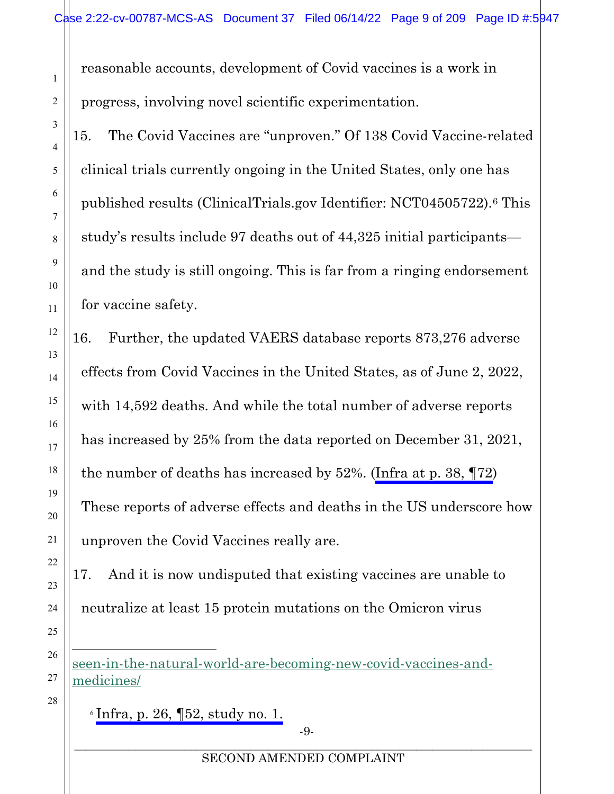reasonable accounts, development of Covid vaccines is a work in progress, involving novel scientific experimentation.

15. The Covid Vaccines are "unproven." Of 138 Covid Vaccine-related clinical trials currently ongoing in the United States, only one has published results (ClinicalTrials.gov Identifier: NCT04505722).[6](#page-8-0) This study's results include 97 deaths out of 44,325 initial participants and the study is still ongoing. This is far from a ringing endorsement for vaccine safety.

16. Further, the updated VAERS database reports 873,276 adverse effects from Covid Vaccines in the United States, as of June 2, 2022, with 14,592 deaths. And while the total number of adverse reports has increased by 25% from the data reported on December 31, 2021, the number of deaths has increased by 52%. [\(Infra at p. 38, ¶72](#page-37-0)) These reports of adverse effects and deaths in the US underscore how unproven the Covid Vaccines really are.

17. And it is now undisputed that existing vaccines are unable to neutralize at least 15 protein mutations on the Omicron virus

<span id="page-8-0"></span>[seen-in-the-natural-world-are-becoming-new-covid-vaccines-and](https://www.scientificamerican.com/article/artificial-proteins-never-seen-in-the-natural-world-are-becoming-new-covid-vaccines-and-medicines/)[medicines/](https://www.scientificamerican.com/article/artificial-proteins-never-seen-in-the-natural-world-are-becoming-new-covid-vaccines-and-medicines/) 

 $\delta$  Infra, p. 26,  $\sqrt{52}$ , study no. 1.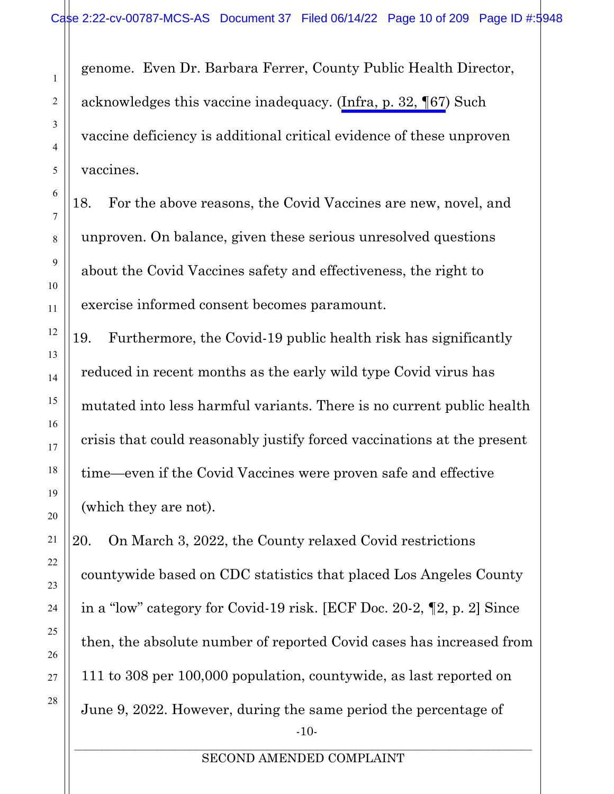<span id="page-9-0"></span>genome. Even Dr. Barbara Ferrer, County Public Health Director, acknowledges this vaccine inadequacy. [\(Infra, p. 32, ¶67](#page-31-1)) Such vaccine deficiency is additional critical evidence of these unproven vaccines.

18. For the above reasons, the Covid Vaccines are new, novel, and unproven. On balance, given these serious unresolved questions about the Covid Vaccines safety and effectiveness, the right to exercise informed consent becomes paramount.

19. Furthermore, the Covid-19 public health risk has significantly reduced in recent months as the early wild type Covid virus has mutated into less harmful variants. There is no current public health crisis that could reasonably justify forced vaccinations at the present time—even if the Covid Vaccines were proven safe and effective (which they are not).

-10- 20. On March 3, 2022, the County relaxed Covid restrictions countywide based on CDC statistics that placed Los Angeles County in a "low" category for Covid-19 risk. [ECF Doc. 20-2, ¶2, p. 2] Since then, the absolute number of reported Covid cases has increased from 111 to 308 per 100,000 population, countywide, as last reported on June 9, 2022. However, during the same period the percentage of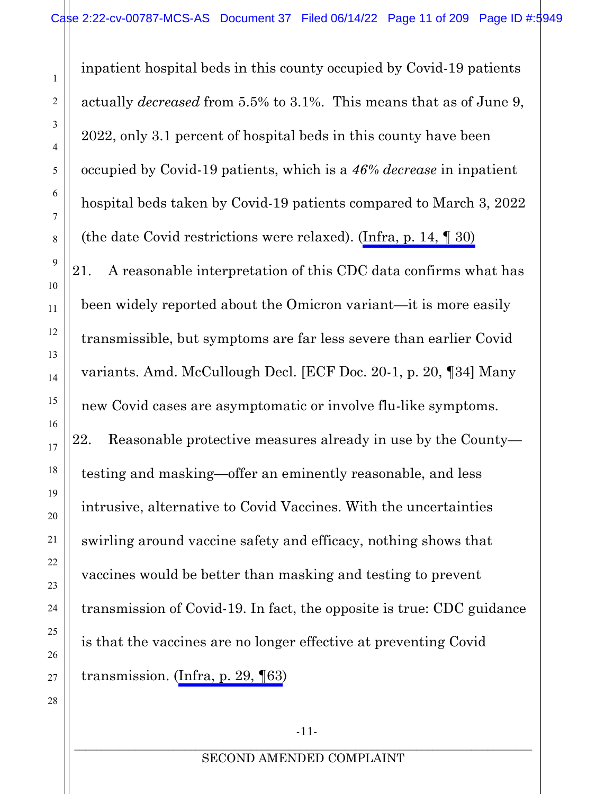inpatient hospital beds in this county occupied by Covid-19 patients actually *decreased* from 5.5% to 3.1%. This means that as of June 9, 2022, only 3.1 percent of hospital beds in this county have been occupied by Covid-19 patients, which is a *46% decrease* in inpatient hospital beds taken by Covid-19 patients compared to March 3, 2022 (the date Covid restrictions were relaxed). ([Infra, p. 14, ¶ 30\)](#page-13-0) 21. A reasonable interpretation of this CDC data confirms what has been widely reported about the Omicron variant—it is more easily transmissible, but symptoms are far less severe than earlier Covid variants. Amd. McCullough Decl. [ECF Doc. 20-1, p. 20, ¶34] Many new Covid cases are asymptomatic or involve flu-like symptoms. 22. Reasonable protective measures already in use by the County testing and masking—offer an eminently reasonable, and less intrusive, alternative to Covid Vaccines. With the uncertainties swirling around vaccine safety and efficacy, nothing shows that vaccines would be better than masking and testing to prevent transmission of Covid-19. In fact, the opposite is true: CDC guidance is that the vaccines are no longer effective at preventing Covid transmission. ([Infra, p. 29, ¶63\)](#page-28-0)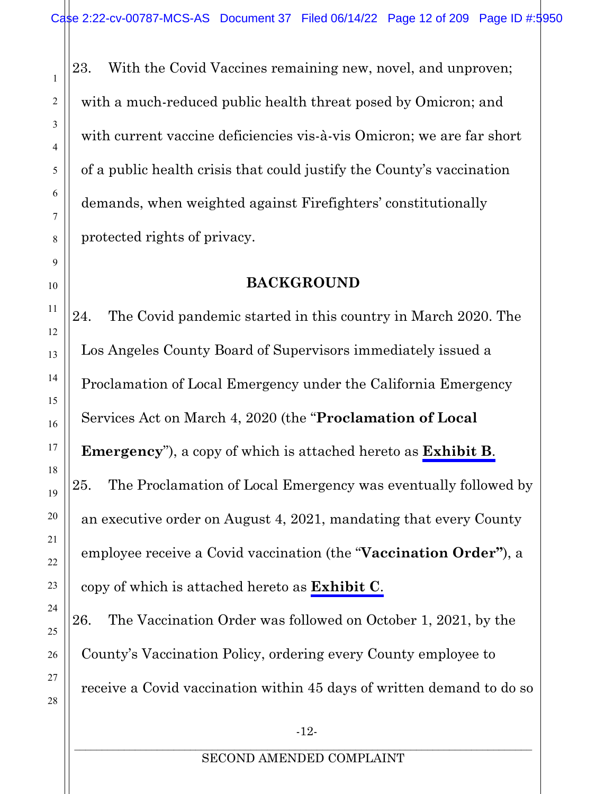23. With the Covid Vaccines remaining new, novel, and unproven; with a much-reduced public health threat posed by Omicron; and with current vaccine deficiencies vis-à-vis Omicron; we are far short of a public health crisis that could justify the County's vaccination demands, when weighted against Firefighters' constitutionally protected rights of privacy.

# **BACKGROUND**

<span id="page-11-0"></span>24. The Covid pandemic started in this country in March 2020. The Los Angeles County Board of Supervisors immediately issued a Proclamation of Local Emergency under the California Emergency Services Act on March 4, 2020 (the "**Proclamation of Local Emergency**"), a copy of which is attached hereto as **Exhibit B**. 25. The Proclamation of Local Emergency was eventually followed by an executive order on August 4, 2021, mandating that every County employee receive a Covid vaccination (the "**Vaccination Order"**), a copy of which is attached hereto as **Exhibit C**.

26. The Vaccination Order was followed on October 1, 2021, by the County's Vaccination Policy, ordering every County employee to receive a Covid vaccination within 45 days of written demand to do so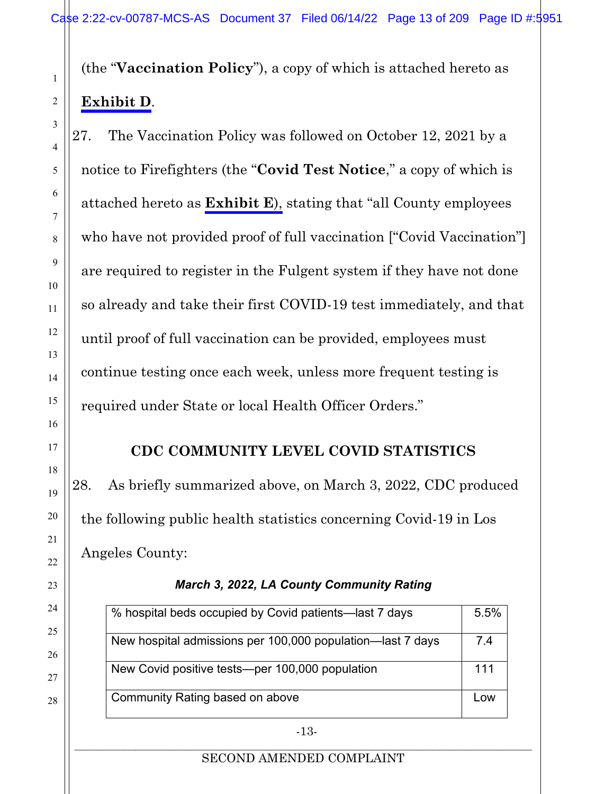(the "**Vaccination Policy**"), a copy of which is attached hereto as **Exhibit D**.

27. The Vaccination Policy was followed on October 12, 2021 by a notice to Firefighters (the "**Covid Test Notice**," a copy of which is attached hereto as **Exhibit E**), stating that "all County employees who have not provided proof of full vaccination ["Covid Vaccination"] are required to register in the Fulgent system if they have not done so already and take their first COVID-19 test immediately, and that until proof of full vaccination can be provided, employees must continue testing once each week, unless more frequent testing is required under State or local Health Officer Orders."

# **CDC COMMUNITY LEVEL COVID STATISTICS**

<span id="page-12-0"></span>28. As briefly summarized above, on March 3, 2022, CDC produced the following public health statistics concerning Covid-19 in Los Angeles County:

| % hospital beds occupied by Covid patients—last 7 days     | 5.5% |
|------------------------------------------------------------|------|
| New hospital admissions per 100,000 population-last 7 days | 74   |
| New Covid positive tests-per 100,000 population            | 111  |
| Community Rating based on above                            | Low  |

#### *March 3, 2022, LA County Community Rating*

#### \_\_\_\_\_\_\_\_\_\_\_\_\_\_\_\_\_\_\_\_\_\_\_\_\_\_\_\_\_\_\_\_\_\_\_\_\_\_\_\_\_\_\_\_\_\_\_\_\_\_\_\_\_\_\_\_\_\_\_\_\_\_\_\_\_\_\_\_\_\_\_\_\_\_\_\_\_\_\_\_\_\_\_ SECOND AMENDED COMPLAINT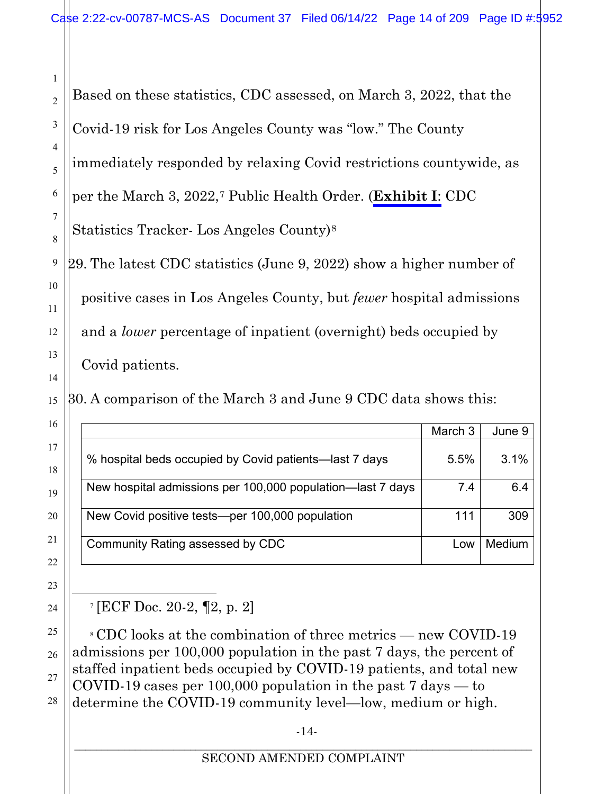<span id="page-13-0"></span>Based on these statistics, CDC assessed, on March 3, 2022, that the Covid-19 risk for Los Angeles County was "low." The County immediately responded by relaxing Covid restrictions countywide, as per the March 3, 2022,[7](#page-13-1) Public Health Order. (**Exhibit I**: CDC Statistics Tracker- Los Angeles County)[8](#page-13-2) 29. The latest CDC statistics (June 9, 2022) show a higher number of positive cases in Los Angeles County, but *fewer* hospital admissions and a *lower* percentage of inpatient (overnight) beds occupied by Covid patients. 30. A comparison of the March 3 and June 9 CDC data shows this:

|                                                            | March 3 | June 9 |
|------------------------------------------------------------|---------|--------|
| % hospital beds occupied by Covid patients—last 7 days     | 5.5%    | 3.1%   |
| New hospital admissions per 100,000 population—last 7 days | 7.4     | 6.4    |
| New Covid positive tests-per 100,000 population            | 111     | 309    |
| Community Rating assessed by CDC                           | l ow    | Medium |

<sup>7</sup> [ECF Doc. 20-2, ¶2, p. 2]

<span id="page-13-2"></span><span id="page-13-1"></span><sup>8</sup> CDC looks at the combination of three metrics — new COVID-19 admissions per 100,000 population in the past 7 days, the percent of staffed inpatient beds occupied by COVID-19 patients, and total new COVID-19 cases per 100,000 population in the past  $7 \text{ days} - 50$ determine the COVID-19 community level—low, medium or high.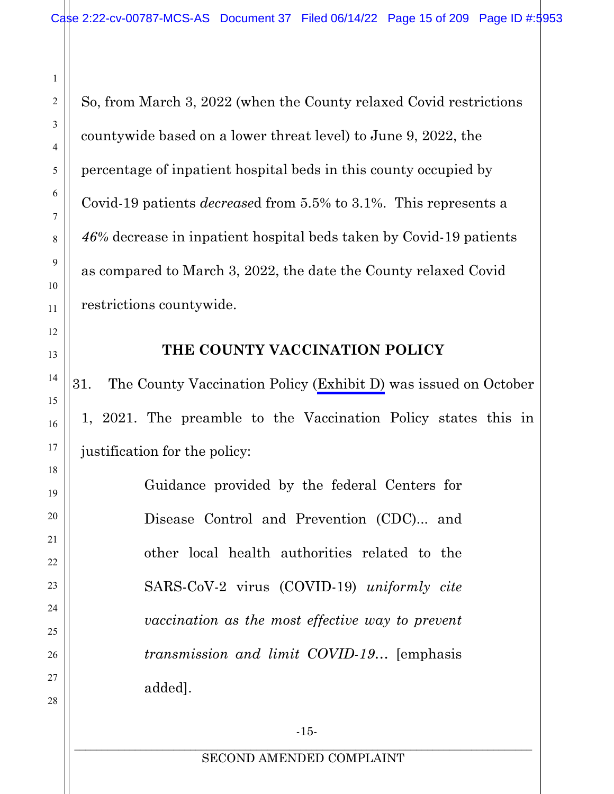So, from March 3, 2022 (when the County relaxed Covid restrictions countywide based on a lower threat level) to June 9, 2022, the percentage of inpatient hospital beds in this county occupied by Covid-19 patients *decrease*d from 5.5% to 3.1%. This represents a *46%* decrease in inpatient hospital beds taken by Covid-19 patients as compared to March 3, 2022, the date the County relaxed Covid restrictions countywide.

1

2

3

4

5

6

7

8

9

10

11

<span id="page-14-0"></span>12

13

14

15

16

17

18

19

20

21

22

23

24

25

26

27

28

#### **THE COUNTY VACCINATION POLICY**

31. The County Vaccination Policy (Exhibit D) was issued on October 1, 2021. The preamble to the Vaccination Policy states this in justification for the policy:

> Guidance provided by the federal Centers for Disease Control and Prevention (CDC)... and other local health authorities related to the SARS-CoV-2 virus (COVID-19) *uniformly cite vaccination as the most effective way to prevent transmission and limit COVID-19*… [emphasis added].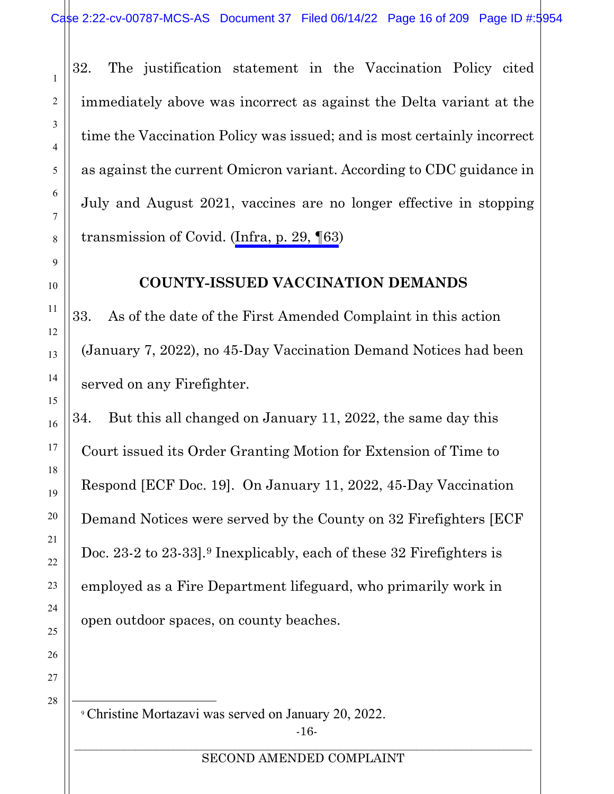32. The justification statement in the Vaccination Policy cited immediately above was incorrect as against the Delta variant at the time the Vaccination Policy was issued; and is most certainly incorrect as against the current Omicron variant. According to CDC guidance in July and August 2021, vaccines are no longer effective in stopping transmission of Covid. [\(Infra, p.](#page-28-0) 29, ¶63)

#### **COUNTY-ISSUED VACCINATION DEMANDS**

33. As of the date of the First Amended Complaint in this action (January 7, 2022), no 45-Day Vaccination Demand Notices had been served on any Firefighter.

34. But this all changed on January 11, 2022, the same day this Court issued its Order Granting Motion for Extension of Time to Respond [ECF Doc. 19]. On January 11, 2022, 45-Day Vaccination Demand Notices were served by the County on 32 Firefighters [ECF Doc. 23-2 to 23-33].<sup>[9](#page-15-1)</sup> Inexplicably, each of these 32 Firefighters is employed as a Fire Department lifeguard, who primarily work in open outdoor spaces, on county beaches.

<span id="page-15-1"></span>27 28

<span id="page-15-2"></span>1

2

3

4

5

6

7

8

<span id="page-15-0"></span>9

10

11

12

13

14

15

16

17

18

19

20

21

22

23

24

25

26

-16- <sup>9</sup> Christine Mortazavi was served on January 20, 2022.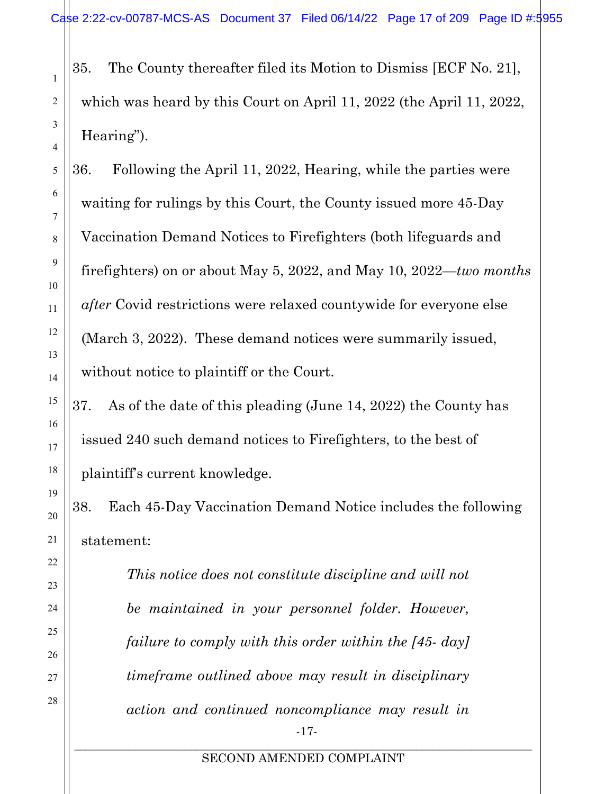35. The County thereafter filed its Motion to Dismiss [ECF No. 21], which was heard by this Court on April 11, 2022 (the April 11, 2022, Hearing").

36. Following the April 11, 2022, Hearing, while the parties were waiting for rulings by this Court, the County issued more 45-Day Vaccination Demand Notices to Firefighters (both lifeguards and firefighters) on or about May 5, 2022, and May 10, 2022—*two months after* Covid restrictions were relaxed countywide for everyone else (March 3, 2022). These demand notices were summarily issued, without notice to plaintiff or the Court.

37. As of the date of this pleading (June 14, 2022) the County has issued 240 such demand notices to Firefighters, to the best of plaintiff's current knowledge.

38. Each 45-Day Vaccination Demand Notice includes the following statement:

> -17- *This notice does not constitute discipline and will not be maintained in your personnel folder. However, failure to comply with this order within the [45- day] timeframe outlined above may result in disciplinary action and continued noncompliance may result in*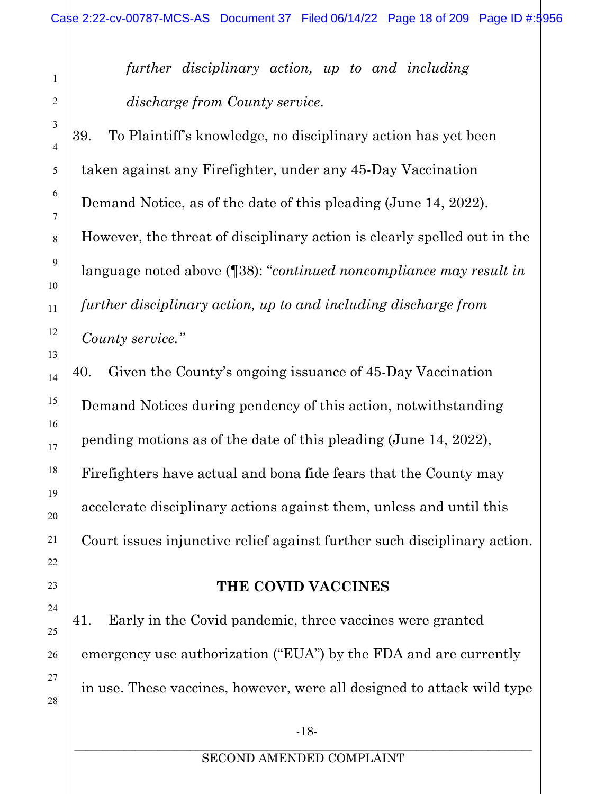*further disciplinary action, up to and including discharge from County service*.

39. To Plaintiff's knowledge, no disciplinary action has yet been taken against any Firefighter, under any 45-Day Vaccination Demand Notice, as of the date of this pleading (June 14, 2022). However, the threat of disciplinary action is clearly spelled out in the language noted above (¶38): "*continued noncompliance may result in further disciplinary action, up to and including discharge from County service."*

40. Given the County's ongoing issuance of 45-Day Vaccination Demand Notices during pendency of this action, notwithstanding pending motions as of the date of this pleading (June 14, 2022), Firefighters have actual and bona fide fears that the County may accelerate disciplinary actions against them, unless and until this Court issues injunctive relief against further such disciplinary action.

#### **THE COVID VACCINES**

41. Early in the Covid pandemic, three vaccines were granted emergency use authorization ("EUA") by the FDA and are currently in use. These vaccines, however, were all designed to attack wild type

1

2

3

4

5

6

7

8

9

10

11

12

13

14

15

16

17

18

19

20

21

<span id="page-17-0"></span>22

23

24

25

26

27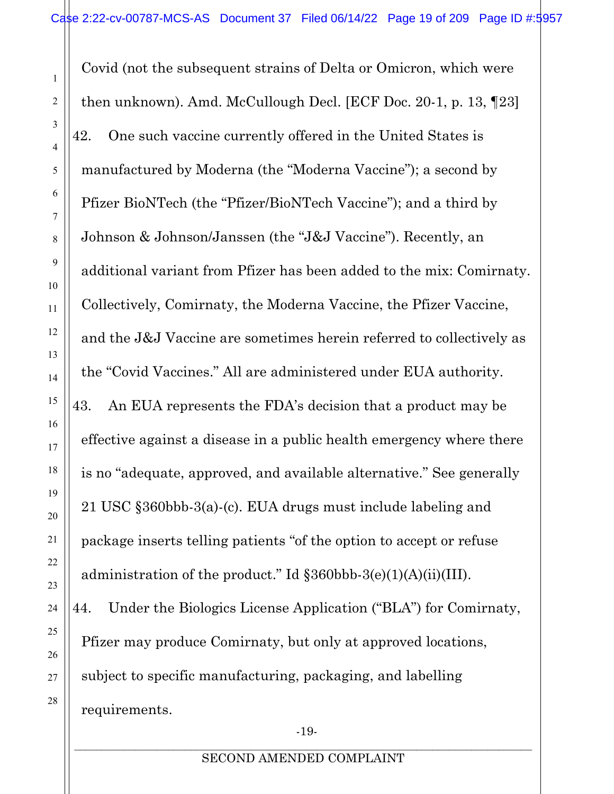Covid (not the subsequent strains of Delta or Omicron, which were then unknown). Amd. McCullough Decl. [ECF Doc. 20-1, p. 13, ¶23] 42. One such vaccine currently offered in the United States is manufactured by Moderna (the "Moderna Vaccine"); a second by Pfizer BioNTech (the "Pfizer/BioNTech Vaccine"); and a third by Johnson & Johnson/Janssen (the "J&J Vaccine"). Recently, an additional variant from Pfizer has been added to the mix: Comirnaty. Collectively, Comirnaty, the Moderna Vaccine, the Pfizer Vaccine, and the J&J Vaccine are sometimes herein referred to collectively as the "Covid Vaccines." All are administered under EUA authority. 43. An EUA represents the FDA's decision that a product may be effective against a disease in a public health emergency where there is no "adequate, approved, and available alternative." See generally 21 USC §360bbb-3(a)-(c). EUA drugs must include labeling and package inserts telling patients "of the option to accept or refuse administration of the product." Id §360bbb-3(e)(1)(A)(ii)(III). 44. Under the Biologics License Application ("BLA") for Comirnaty, Pfizer may produce Comirnaty, but only at approved locations, subject to specific manufacturing, packaging, and labelling requirements.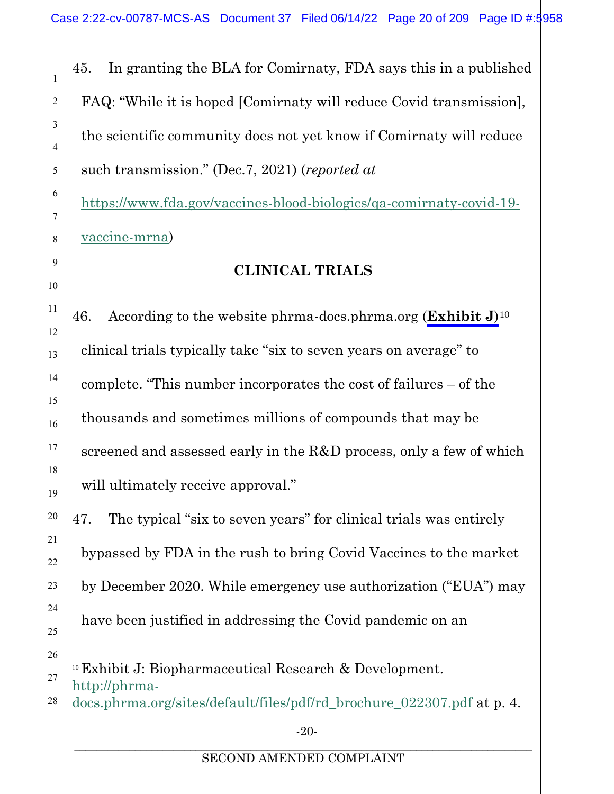45. In granting the BLA for Comirnaty, FDA says this in a published FAQ: "While it is hoped [Comirnaty will reduce Covid transmission], the scientific community does not yet know if Comirnaty will reduce such transmission." (Dec.7, 2021) (*reported at*

[https://www.fda.gov/vaccines-blood-biologics/qa-comirnaty-covid-19](https://www.fda.gov/vaccines-blood-biologics/qa-comirnaty-covid-19-vaccine-mrna) [vaccine-mrna\)](https://www.fda.gov/vaccines-blood-biologics/qa-comirnaty-covid-19-vaccine-mrna)

# **CLINICAL TRIALS**

<span id="page-19-0"></span>46. According to the website phrma-docs.phrma.org (**Exhibit J**)[10](#page-19-1) clinical trials typically take "six to seven years on average" to complete. "This number incorporates the cost of failures – of the thousands and sometimes millions of compounds that may be screened and assessed early in the R&D process, only a few of which will ultimately receive approval."

47. The typical "six to seven years" for clinical trials was entirely bypassed by FDA in the rush to bring Covid Vaccines to the market by December 2020. While emergency use authorization ("EUA") may have been justified in addressing the Covid pandemic on an

<span id="page-19-1"></span><sup>10</sup> Exhibit J: Biopharmaceutical Research & Development. [http://phrma](http://phrma-docs.phrma.org/sites/default/files/pdf/rd_brochure_022307.pdf)[docs.phrma.org/sites/default/files/pdf/rd\\_brochure\\_022307.pdf](http://phrma-docs.phrma.org/sites/default/files/pdf/rd_brochure_022307.pdf) at p. 4.

-20-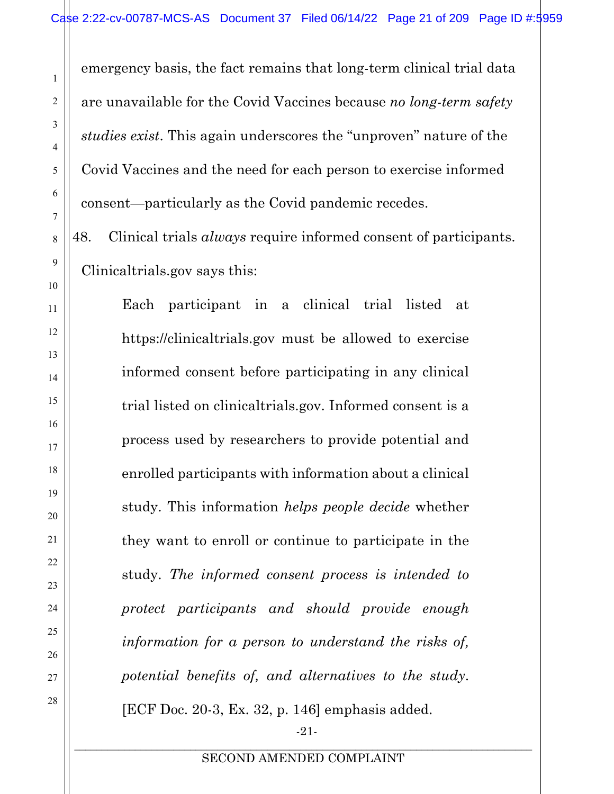emergency basis, the fact remains that long-term clinical trial data are unavailable for the Covid Vaccines because *no long-term safety studies exist*. This again underscores the "unproven" nature of the Covid Vaccines and the need for each person to exercise informed consent—particularly as the Covid pandemic recedes.

48. Clinical trials *always* require informed consent of participants. Clinicaltrials.gov says this:

Each participant in a clinical trial listed at https://clinicaltrials.gov must be allowed to exercise informed consent before participating in any clinical trial listed on clinicaltrials.gov. Informed consent is a process used by researchers to provide potential and enrolled participants with information about a clinical study. This information *helps people decide* whether they want to enroll or continue to participate in the study. *The informed consent process is intended to protect participants and should provide enough information for a person to understand the risks of, potential benefits of, and alternatives to the study*. [ECF Doc. 20-3, Ex. 32, p. 146] emphasis added.

-21-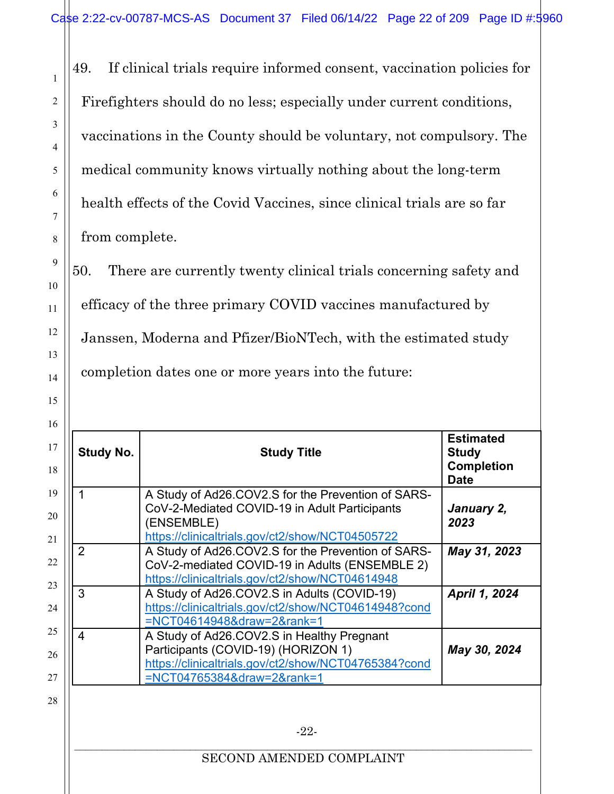49. If clinical trials require informed consent, vaccination policies for Firefighters should do no less; especially under current conditions, vaccinations in the County should be voluntary, not compulsory. The medical community knows virtually nothing about the long-term health effects of the Covid Vaccines, since clinical trials are so far from complete.

<span id="page-21-0"></span>1

2

3

4

5

6

7

8

9

10

11

12

13

14

15

50. There are currently twenty clinical trials concerning safety and efficacy of the three primary COVID vaccines manufactured by Janssen, Moderna and Pfizer/BioNTech, with the estimated study completion dates one or more years into the future:

| <b>Study No.</b><br><b>Study Title</b> |                                                                                                                                                                         | <b>Estimated</b><br><b>Study</b><br><b>Completion</b><br><b>Date</b> |
|----------------------------------------|-------------------------------------------------------------------------------------------------------------------------------------------------------------------------|----------------------------------------------------------------------|
|                                        | A Study of Ad26.COV2.S for the Prevention of SARS-<br>CoV-2-Mediated COVID-19 in Adult Participants<br>(ENSEMBLE)<br>https://clinicaltrials.gov/ct2/show/NCT04505722    | January 2,<br>2023                                                   |
| 2                                      | A Study of Ad26.COV2.S for the Prevention of SARS-<br>CoV-2-mediated COVID-19 in Adults (ENSEMBLE 2)<br>https://clinicaltrials.gov/ct2/show/NCT04614948                 | May 31, 2023                                                         |
| 3                                      | A Study of Ad26.COV2.S in Adults (COVID-19)<br>https://clinicaltrials.gov/ct2/show/NCT04614948?cond<br>=NCT04614948&draw=2&rank=1                                       | April 1, 2024                                                        |
| 4                                      | A Study of Ad26.COV2.S in Healthy Pregnant<br>Participants (COVID-19) (HORIZON 1)<br>https://clinicaltrials.gov/ct2/show/NCT04765384?cond<br>=NCT04765384&draw=2&rank=1 | May 30, 2024                                                         |
|                                        | $-22-$                                                                                                                                                                  |                                                                      |
| SECOND AMENDED COMPLAINT               |                                                                                                                                                                         |                                                                      |

 $\mathbf{I}$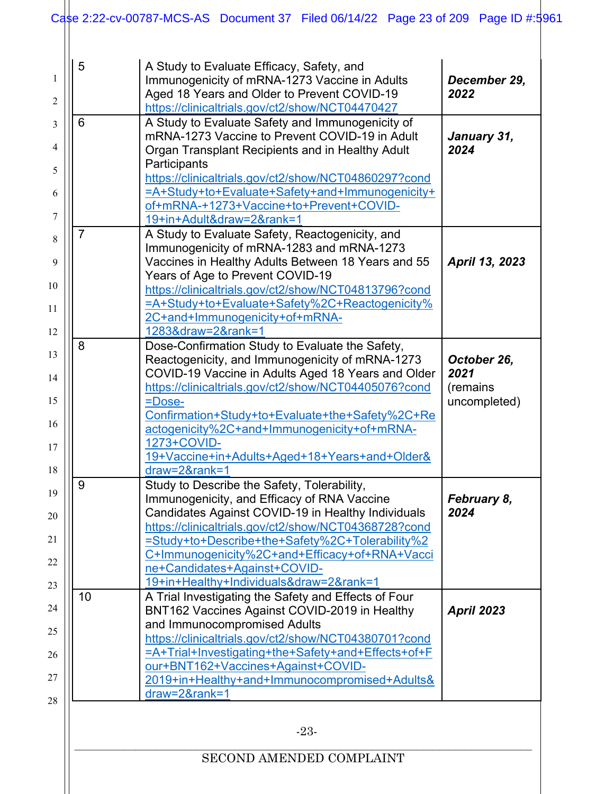| 5                                                  | A Study to Evaluate Efficacy, Safety, and                                                                  |                      |
|----------------------------------------------------|------------------------------------------------------------------------------------------------------------|----------------------|
|                                                    | Immunogenicity of mRNA-1273 Vaccine in Adults                                                              |                      |
| Aged 18 Years and Older to Prevent COVID-19        |                                                                                                            | December 29,<br>2022 |
|                                                    | https://clinicaltrials.gov/ct2/show/NCT04470427                                                            |                      |
| 6                                                  | A Study to Evaluate Safety and Immunogenicity of                                                           |                      |
|                                                    | mRNA-1273 Vaccine to Prevent COVID-19 in Adult                                                             | January 31,          |
|                                                    | Organ Transplant Recipients and in Healthy Adult                                                           | 2024                 |
|                                                    | Participants                                                                                               |                      |
|                                                    | https://clinicaltrials.gov/ct2/show/NCT04860297?cond                                                       |                      |
|                                                    | =A+Study+to+Evaluate+Safety+and+Immunogenicity+                                                            |                      |
|                                                    | of+mRNA-+1273+Vaccine+to+Prevent+COVID-<br>19+in+Adult&draw=2&rank=1                                       |                      |
|                                                    | A Study to Evaluate Safety, Reactogenicity, and                                                            |                      |
|                                                    | Immunogenicity of mRNA-1283 and mRNA-1273                                                                  |                      |
|                                                    | Vaccines in Healthy Adults Between 18 Years and 55                                                         | April 13, 2023       |
|                                                    | Years of Age to Prevent COVID-19                                                                           |                      |
|                                                    | https://clinicaltrials.gov/ct2/show/NCT04813796?cond                                                       |                      |
|                                                    | =A+Study+to+Evaluate+Safety%2C+Reactogenicity%                                                             |                      |
|                                                    | 2C+and+Immunogenicity+of+mRNA-                                                                             |                      |
|                                                    | 1283&draw=2&rank=1                                                                                         |                      |
| 8                                                  | Dose-Confirmation Study to Evaluate the Safety,                                                            |                      |
|                                                    | Reactogenicity, and Immunogenicity of mRNA-1273                                                            | October 26,          |
| COVID-19 Vaccine in Adults Aged 18 Years and Older |                                                                                                            | 2021                 |
|                                                    | https://clinicaltrials.gov/ct2/show/NCT04405076?cond                                                       | (remains             |
|                                                    | =Dose-                                                                                                     | uncompleted)         |
|                                                    | Confirmation+Study+to+Evaluate+the+Safety%2C+Re                                                            |                      |
|                                                    | actogenicity%2C+and+Immunogenicity+of+mRNA-<br>1273+COVID-                                                 |                      |
|                                                    | 19+Vaccine+in+Adults+Aged+18+Years+and+Older&                                                              |                      |
|                                                    | draw=2&rank=1                                                                                              |                      |
| 9                                                  | Study to Describe the Safety, Tolerability,                                                                |                      |
|                                                    | Immunogenicity, and Efficacy of RNA Vaccine                                                                | February 8,          |
|                                                    | Candidates Against COVID-19 in Healthy Individuals                                                         | 2024                 |
|                                                    | https://clinicaltrials.gov/ct2/show/NCT04368728?cond                                                       |                      |
|                                                    | =Study+to+Describe+the+Safety%2C+Tolerability%2                                                            |                      |
|                                                    | C+Immunogenicity%2C+and+Efficacy+of+RNA+Vacci                                                              |                      |
|                                                    | ne+Candidates+Against+COVID-                                                                               |                      |
|                                                    | 19+in+Healthy+Individuals&draw=2&rank=1                                                                    |                      |
| 10                                                 | A Trial Investigating the Safety and Effects of Four                                                       |                      |
|                                                    | BNT162 Vaccines Against COVID-2019 in Healthy                                                              | <b>April 2023</b>    |
|                                                    | and Immunocompromised Adults                                                                               |                      |
|                                                    | https://clinicaltrials.gov/ct2/show/NCT04380701?cond<br>=A+Trial+Investigating+the+Safety+and+Effects+of+F |                      |
|                                                    | our+BNT162+Vaccines+Against+COVID-                                                                         |                      |
|                                                    | 2019+in+Healthy+and+Immunocompromised+Adults&                                                              |                      |
|                                                    | draw=2&rank=1                                                                                              |                      |
|                                                    |                                                                                                            |                      |
|                                                    | $-23-$                                                                                                     |                      |
|                                                    |                                                                                                            |                      |

# SECOND AMENDED COMPLAINT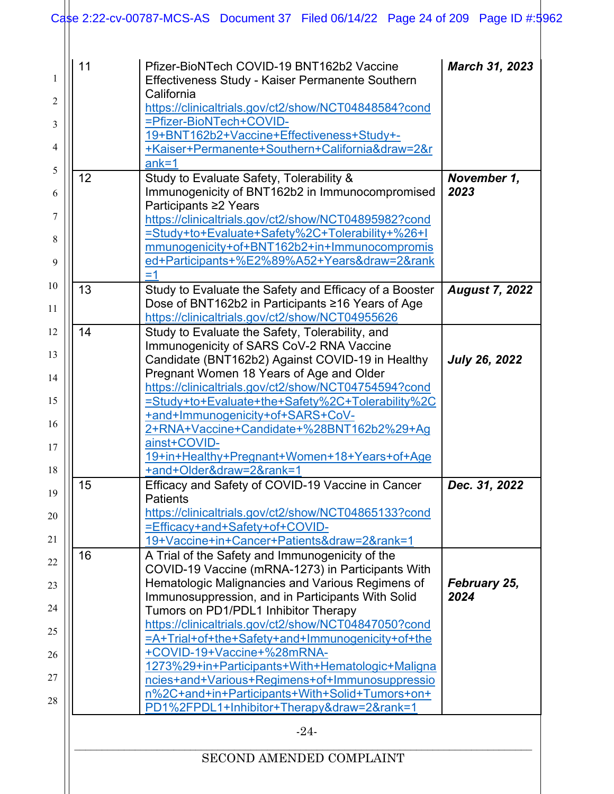| $ank=1$<br>12<br>Study to Evaluate Safety, Tolerability &<br>Immunogenicity of BNT162b2 in Immunocompromised<br>2023<br>Participants ≥2 Years<br>https://clinicaltrials.gov/ct2/show/NCT04895982?cond<br>=Study+to+Evaluate+Safety%2C+Tolerability+%26+I<br>mmunogenicity+of+BNT162b2+in+Immunocompromis<br>ed+Participants+%E2%89%A52+Years&draw=2&rank<br>$=1$<br>13<br>Study to Evaluate the Safety and Efficacy of a Booster<br>Dose of BNT162b2 in Participants ≥16 Years of Age<br>https://clinicaltrials.gov/ct2/show/NCT04955626<br>14<br>Study to Evaluate the Safety, Tolerability, and<br>Immunogenicity of SARS CoV-2 RNA Vaccine<br>Candidate (BNT162b2) Against COVID-19 in Healthy<br>Pregnant Women 18 Years of Age and Older<br>https://clinicaltrials.gov/ct2/show/NCT04754594?cond<br>=Study+to+Evaluate+the+Safety%2C+Tolerability%2C<br>+and+Immunogenicity+of+SARS+CoV-<br>2+RNA+Vaccine+Candidate+%28BNT162b2%29+Ag<br>ainst+COVID-<br>19+in+Healthy+Pregnant+Women+18+Years+of+Age<br>+and+Older&draw=2&rank=1<br>15<br>Efficacy and Safety of COVID-19 Vaccine in Cancer<br><b>Patients</b><br>https://clinicaltrials.gov/ct2/show/NCT04865133?cond<br>=Efficacy+and+Safety+of+COVID-<br>19+Vaccine+in+Cancer+Patients&draw=2&rank=1<br>16<br>A Trial of the Safety and Immunogenicity of the<br>COVID-19 Vaccine (mRNA-1273) in Participants With<br>Hematologic Malignancies and Various Regimens of<br>Immunosuppression, and in Participants With Solid<br>2024<br>Tumors on PD1/PDL1 Inhibitor Therapy<br>https://clinicaltrials.gov/ct2/show/NCT04847050?cond<br>=A+Trial+of+the+Safety+and+Immunogenicity+of+the<br>+COVID-19+Vaccine+%28mRNA-<br>1273%29+in+Participants+With+Hematologic+Maligna<br>ncies+and+Various+Regimens+of+Immunosuppressio | 11 | Pfizer-BioNTech COVID-19 BNT162b2 Vaccine<br>Effectiveness Study - Kaiser Permanente Southern<br>California<br>https://clinicaltrials.gov/ct2/show/NCT04848584?cond<br>=Pfizer-BioNTech+COVID-<br>19+BNT162b2+Vaccine+Effectiveness+Study+-<br>+Kaiser+Permanente+Southern+California&draw=2&r | <b>March 31, 2023</b> |
|--------------------------------------------------------------------------------------------------------------------------------------------------------------------------------------------------------------------------------------------------------------------------------------------------------------------------------------------------------------------------------------------------------------------------------------------------------------------------------------------------------------------------------------------------------------------------------------------------------------------------------------------------------------------------------------------------------------------------------------------------------------------------------------------------------------------------------------------------------------------------------------------------------------------------------------------------------------------------------------------------------------------------------------------------------------------------------------------------------------------------------------------------------------------------------------------------------------------------------------------------------------------------------------------------------------------------------------------------------------------------------------------------------------------------------------------------------------------------------------------------------------------------------------------------------------------------------------------------------------------------------------------------------------------------------------------------------------------------------------------------------------------------------------|----|------------------------------------------------------------------------------------------------------------------------------------------------------------------------------------------------------------------------------------------------------------------------------------------------|-----------------------|
|                                                                                                                                                                                                                                                                                                                                                                                                                                                                                                                                                                                                                                                                                                                                                                                                                                                                                                                                                                                                                                                                                                                                                                                                                                                                                                                                                                                                                                                                                                                                                                                                                                                                                                                                                                                      |    |                                                                                                                                                                                                                                                                                                | November 1,           |
|                                                                                                                                                                                                                                                                                                                                                                                                                                                                                                                                                                                                                                                                                                                                                                                                                                                                                                                                                                                                                                                                                                                                                                                                                                                                                                                                                                                                                                                                                                                                                                                                                                                                                                                                                                                      |    |                                                                                                                                                                                                                                                                                                | <b>August 7, 2022</b> |
|                                                                                                                                                                                                                                                                                                                                                                                                                                                                                                                                                                                                                                                                                                                                                                                                                                                                                                                                                                                                                                                                                                                                                                                                                                                                                                                                                                                                                                                                                                                                                                                                                                                                                                                                                                                      |    |                                                                                                                                                                                                                                                                                                | <b>July 26, 2022</b>  |
|                                                                                                                                                                                                                                                                                                                                                                                                                                                                                                                                                                                                                                                                                                                                                                                                                                                                                                                                                                                                                                                                                                                                                                                                                                                                                                                                                                                                                                                                                                                                                                                                                                                                                                                                                                                      |    |                                                                                                                                                                                                                                                                                                | Dec. 31, 2022         |
| PD1%2FPDL1+Inhibitor+Therapy&draw=2&rank=1                                                                                                                                                                                                                                                                                                                                                                                                                                                                                                                                                                                                                                                                                                                                                                                                                                                                                                                                                                                                                                                                                                                                                                                                                                                                                                                                                                                                                                                                                                                                                                                                                                                                                                                                           |    | n%2C+and+in+Participants+With+Solid+Tumors+on+                                                                                                                                                                                                                                                 | February 25,          |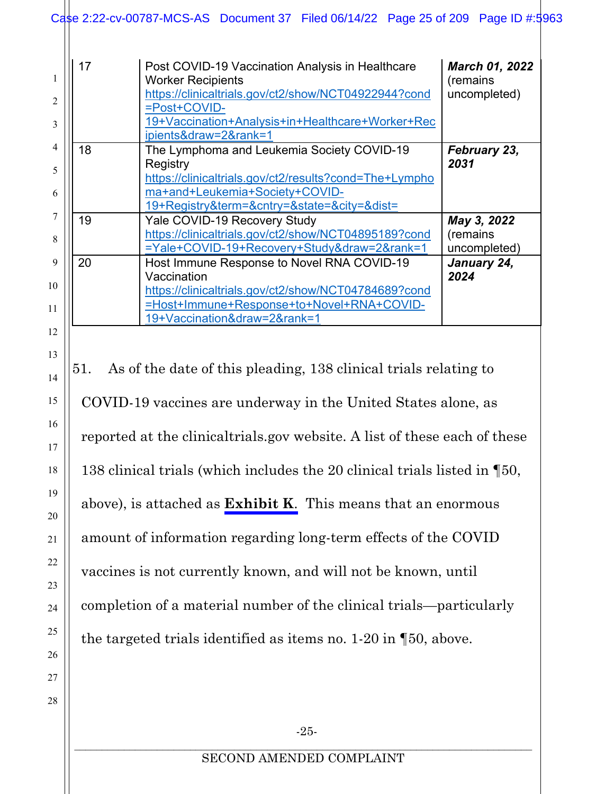#### Case 2:22-cv-00787-MCS-AS Document 37 Filed 06/14/22 Page 25 of 209 Page ID #:5963

| $\mathfrak{D}$<br>3 | 17 | Post COVID-19 Vaccination Analysis in Healthcare<br><b>Worker Recipients</b><br>https://clinicaltrials.gov/ct2/show/NCT04922944?cond<br>=Post+COVID-<br>19+Vaccination+Analysis+in+Healthcare+Worker+Rec<br>ipients&draw=2&rank=1 | <b>March 01, 2022</b><br>(remains<br>uncompleted) |
|---------------------|----|-----------------------------------------------------------------------------------------------------------------------------------------------------------------------------------------------------------------------------------|---------------------------------------------------|
|                     | 18 | The Lymphoma and Leukemia Society COVID-19                                                                                                                                                                                        | <b>February 23,</b>                               |
| 5                   |    | Registry<br>https://clinicaltrials.gov/ct2/results?cond=The+Lympho                                                                                                                                                                | 2031                                              |
| 6                   |    | ma+and+Leukemia+Society+COVID-                                                                                                                                                                                                    |                                                   |
|                     |    | 19+Registry&term=&cntry=&state=&city=&dist=                                                                                                                                                                                       |                                                   |
|                     | 19 | Yale COVID-19 Recovery Study                                                                                                                                                                                                      | May 3, 2022                                       |
| 8                   |    | https://clinicaltrials.gov/ct2/show/NCT04895189?cond                                                                                                                                                                              | (remains                                          |
|                     |    | =Yale+COVID-19+Recovery+Study&draw=2&rank=1                                                                                                                                                                                       | uncompleted)                                      |
| 9                   | 20 | Host Immune Response to Novel RNA COVID-19<br>Vaccination                                                                                                                                                                         | January 24,<br>2024                               |
| 10                  |    | https://clinicaltrials.gov/ct2/show/NCT04784689?cond                                                                                                                                                                              |                                                   |
| 11                  |    | =Host+Immune+Response+to+Novel+RNA+COVID-                                                                                                                                                                                         |                                                   |
|                     |    | 19+Vaccination&draw=2&rank=1                                                                                                                                                                                                      |                                                   |
| 12                  |    |                                                                                                                                                                                                                                   |                                                   |

13

14

15

16

17

18

19

20

21

22

23

24

25

26

27

28

51. As of the date of this pleading, 138 clinical trials relating to COVID-19 vaccines are underway in the United States alone, as reported at the clinicaltrials.gov website. A list of these each of these 138 clinical trials (which includes the 20 clinical trials listed in ¶50, above), is attached as **Exhibit K**. This means that an enormous amount of information regarding long-term effects of the COVID vaccines is not currently known, and will not be known, until completion of a material number of the clinical trials—particularly the targeted trials identified as items no. 1-20 in ¶50, above.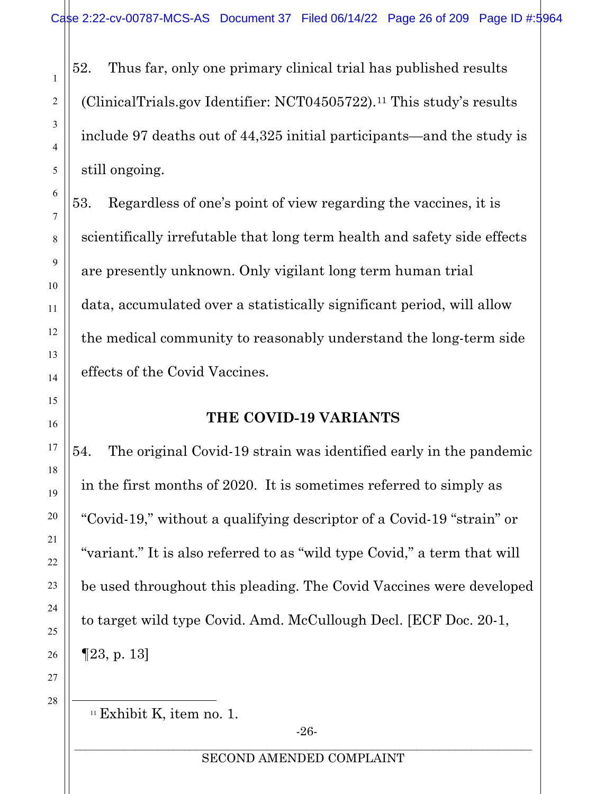52. Thus far, only one primary clinical trial has published results (ClinicalTrials.gov Identifier: NCT04505722).[11](#page-25-2) This study's results include 97 deaths out of 44,325 initial participants—and the study is still ongoing.

53. Regardless of one's point of view regarding the vaccines, it is scientifically irrefutable that long term health and safety side effects are presently unknown. Only vigilant long term human trial data, accumulated over a statistically significant period, will allow the medical community to reasonably understand the long-term side effects of the Covid Vaccines.

# **THE COVID-19 VARIANTS**

54. The original Covid-19 strain was identified early in the pandemic in the first months of 2020. It is sometimes referred to simply as "Covid-19," without a qualifying descriptor of a Covid-19 "strain" or "variant." It is also referred to as "wild type Covid," a term that will be used throughout this pleading. The Covid Vaccines were developed to target wild type Covid. Amd. McCullough Decl. [ECF Doc. 20-1, ¶23, p. 13]

<span id="page-25-2"></span>27 28

<span id="page-25-1"></span>1

2

3

4

5

6

7

8

9

10

11

12

13

14

<span id="page-25-0"></span>15

16

17

18

19

20

21

22

23

24

25

<sup>&</sup>lt;sup>11</sup> Exhibit K, item no. 1.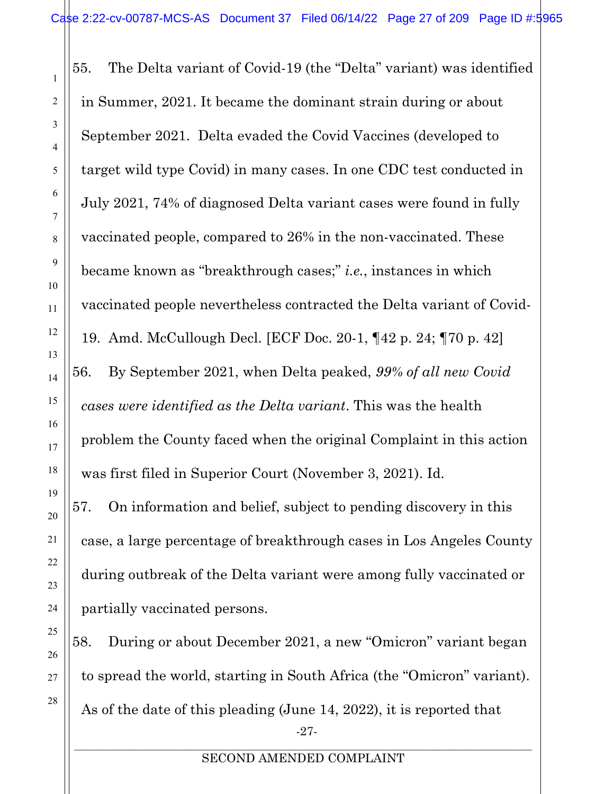1

2

3

4

5

6

7

8

9

10

11

12

13

14

15

16

17

18

19

20

21

22

23

24

25

26

27

28

55. The Delta variant of Covid-19 (the "Delta" variant) was identified in Summer, 2021. It became the dominant strain during or about September 2021. Delta evaded the Covid Vaccines (developed to target wild type Covid) in many cases. In one CDC test conducted in July 2021, 74% of diagnosed Delta variant cases were found in fully vaccinated people, compared to 26% in the non-vaccinated. These became known as "breakthrough cases;" *i.e.*, instances in which vaccinated people nevertheless contracted the Delta variant of Covid-19. Amd. McCullough Decl. [ECF Doc. 20-1, ¶42 p. 24; ¶70 p. 42] 56. By September 2021, when Delta peaked, *99% of all new Covid cases were identified as the Delta variant*. This was the health problem the County faced when the original Complaint in this action was first filed in Superior Court (November 3, 2021). Id. 57. On information and belief, subject to pending discovery in this case, a large percentage of breakthrough cases in Los Angeles County during outbreak of the Delta variant were among fully vaccinated or partially vaccinated persons.

-27- 58. During or about December 2021, a new "Omicron" variant began to spread the world, starting in South Africa (the "Omicron" variant). As of the date of this pleading (June 14, 2022), it is reported that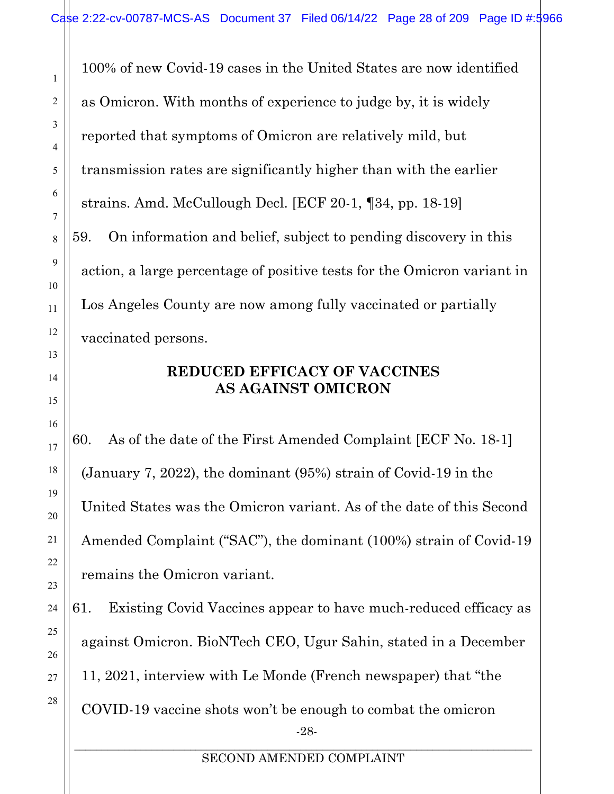100% of new Covid-19 cases in the United States are now identified as Omicron. With months of experience to judge by, it is widely reported that symptoms of Omicron are relatively mild, but transmission rates are significantly higher than with the earlier strains. Amd. McCullough Decl. [ECF 20-1, ¶34, pp. 18-19] 59. On information and belief, subject to pending discovery in this action, a large percentage of positive tests for the Omicron variant in Los Angeles County are now among fully vaccinated or partially vaccinated persons.

## **REDUCED EFFICACY OF VACCINES AS AGAINST OMICRON**

<span id="page-27-0"></span>60. As of the date of the First Amended Complaint [ECF No. 18-1] (January 7, 2022), the dominant (95%) strain of Covid-19 in the United States was the Omicron variant. As of the date of this Second Amended Complaint ("SAC"), the dominant (100%) strain of Covid-19 remains the Omicron variant.

-28- 61. Existing Covid Vaccines appear to have much-reduced efficacy as against Omicron. BioNTech CEO, Ugur Sahin, stated in a December 11, 2021, interview with Le Monde (French newspaper) that "the COVID-19 vaccine shots won't be enough to combat the omicron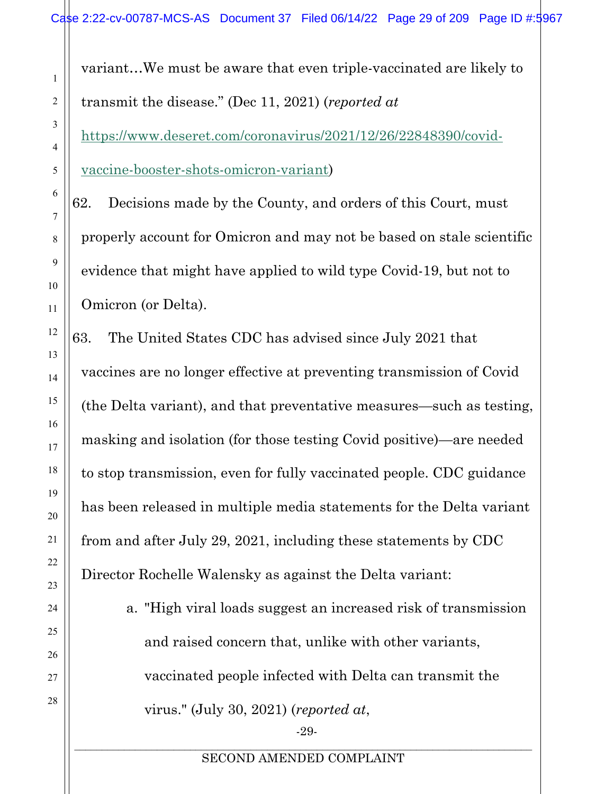<span id="page-28-0"></span>variant…We must be aware that even triple-vaccinated are likely to transmit the disease." (Dec 11, 2021) (*reported at*

[https://www.deseret.com/coronavirus/2021/12/26/22848390/covid-](https://www.deseret.com/coronavirus/2021/12/26/22848390/covid-vaccine-booster-shots-omicron-variant)

[vaccine-booster-shots-omicron-variant\)](https://www.deseret.com/coronavirus/2021/12/26/22848390/covid-vaccine-booster-shots-omicron-variant)

62. Decisions made by the County, and orders of this Court, must properly account for Omicron and may not be based on stale scientific evidence that might have applied to wild type Covid-19, but not to Omicron (or Delta).

63. The United States CDC has advised since July 2021 that vaccines are no longer effective at preventing transmission of Covid (the Delta variant), and that preventative measures—such as testing, masking and isolation (for those testing Covid positive)—are needed to stop transmission, even for fully vaccinated people. CDC guidance has been released in multiple media statements for the Delta variant from and after July 29, 2021, including these statements by CDC Director Rochelle Walensky as against the Delta variant:

> a. "High viral loads suggest an increased risk of transmission and raised concern that, unlike with other variants, vaccinated people infected with Delta can transmit the virus." (July 30, 2021) (*reported at*,

> > -29-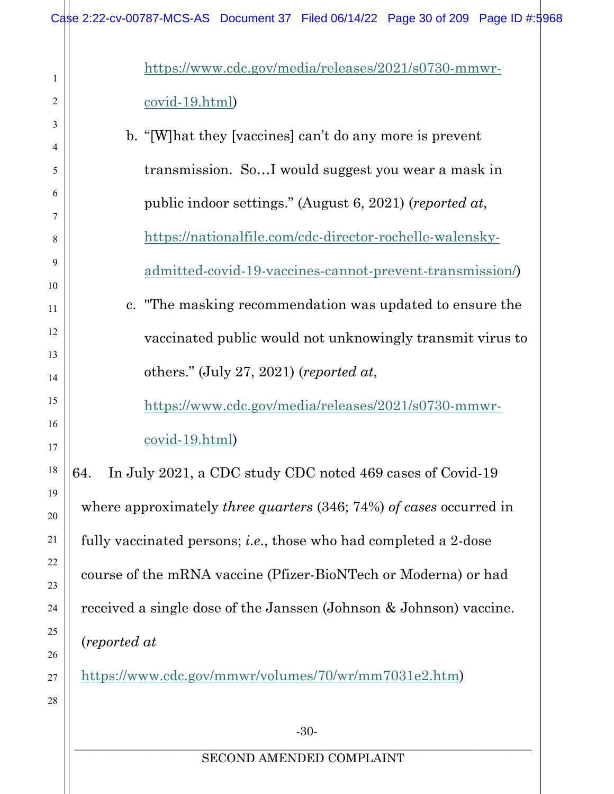<span id="page-29-0"></span>

|              | Case 2:22-cv-00787-MCS-AS Document 37 Filed 06/14/22 Page 30 of 209 Page ID #:5968 |  |  |  |
|--------------|------------------------------------------------------------------------------------|--|--|--|
| 1            | https://www.cdc.gov/media/releases/2021/s0730-mmwr-                                |  |  |  |
| 2            | $\frac{\text{covid-19.html}}{}$                                                    |  |  |  |
| 3            | b. "[W] hat they [vaccines] can't do any more is prevent                           |  |  |  |
| 4            |                                                                                    |  |  |  |
| 5            | transmission. SoI would suggest you wear a mask in                                 |  |  |  |
| 6<br>7       | public indoor settings." (August 6, 2021) (reported at,                            |  |  |  |
| 8            | https://nationalfile.com/cdc-director-rochelle-walensky-                           |  |  |  |
| 9            | admitted-covid-19-vaccines-cannot-prevent-transmission/                            |  |  |  |
| 10<br>11     | c. "The masking recommendation was updated to ensure the                           |  |  |  |
| 12<br>13     | vaccinated public would not unknowingly transmit virus to                          |  |  |  |
| 14           | others." (July 27, 2021) (reported at,                                             |  |  |  |
| 15           | https://www.cdc.gov/media/releases/2021/s0730-mmwr-                                |  |  |  |
| 16<br>17     | covid-19.html)                                                                     |  |  |  |
| 18           | In July 2021, a CDC study CDC noted 469 cases of Covid-19<br>64.                   |  |  |  |
| 19<br>$20\,$ | where approximately <i>three quarters</i> $(346; 74%)$ <i>of cases</i> occurred in |  |  |  |
| 21           | fully vaccinated persons; <i>i.e.</i> , those who had completed a 2-dose           |  |  |  |
| 22<br>23     | course of the mRNA vaccine (Pfizer-BioNTech or Moderna) or had                     |  |  |  |
| 24           | received a single dose of the Janssen (Johnson & Johnson) vaccine.                 |  |  |  |
| 25<br>26     | (reported at                                                                       |  |  |  |
| 27           | https://www.cdc.gov/mmwr/volumes/70/wr/mm7031e2.htm)                               |  |  |  |
| 28           |                                                                                    |  |  |  |
|              | $-30-$                                                                             |  |  |  |
|              | SECOND AMENDED COMPLAINT                                                           |  |  |  |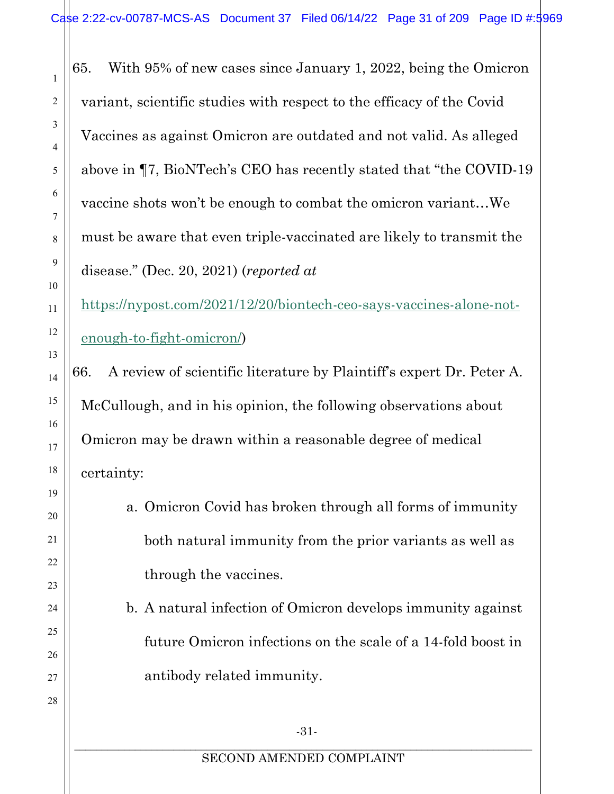65. With 95% of new cases since January 1, 2022, being the Omicron variant, scientific studies with respect to the efficacy of the Covid Vaccines as against Omicron are outdated and not valid. As alleged above in ¶7, BioNTech's CEO has recently stated that "the COVID-19 vaccine shots won't be enough to combat the omicron variant…We must be aware that even triple-vaccinated are likely to transmit the disease." (Dec. 20, 2021) (*reported at*

[https://nypost.com/2021/12/20/biontech-ceo-says-vaccines-alone-not](https://nypost.com/2021/12/20/biontech-ceo-says-vaccines-alone-not-enough-to-fight-omicron/)[enough-to-fight-omicron/\)](https://nypost.com/2021/12/20/biontech-ceo-says-vaccines-alone-not-enough-to-fight-omicron/)

66. A review of scientific literature by Plaintiff's expert Dr. Peter A. McCullough, and in his opinion, the following observations about Omicron may be drawn within a reasonable degree of medical certainty:

> a. Omicron Covid has broken through all forms of immunity both natural immunity from the prior variants as well as through the vaccines.

b. A natural infection of Omicron develops immunity against future Omicron infections on the scale of a 14-fold boost in antibody related immunity.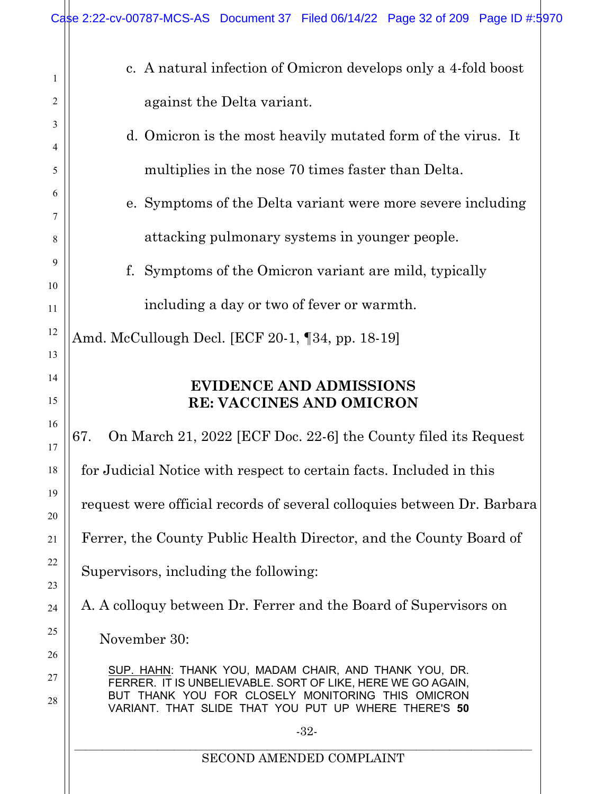<span id="page-31-1"></span><span id="page-31-0"></span>

|          | Case 2:22-cv-00787-MCS-AS Document 37 Filed 06/14/22 Page 32 of 209 Page ID #:5970                                                                                       |  |  |  |  |
|----------|--------------------------------------------------------------------------------------------------------------------------------------------------------------------------|--|--|--|--|
| 1        | c. A natural infection of Omicron develops only a 4-fold boost                                                                                                           |  |  |  |  |
| 2        | against the Delta variant.                                                                                                                                               |  |  |  |  |
| 3        | d. Omicron is the most heavily mutated form of the virus. It                                                                                                             |  |  |  |  |
| 4<br>5   | multiplies in the nose 70 times faster than Delta.                                                                                                                       |  |  |  |  |
| 6        |                                                                                                                                                                          |  |  |  |  |
| 7        | e. Symptoms of the Delta variant were more severe including                                                                                                              |  |  |  |  |
| 8        | attacking pulmonary systems in younger people.                                                                                                                           |  |  |  |  |
| 9        | Symptoms of the Omicron variant are mild, typically<br>f.                                                                                                                |  |  |  |  |
| 10       |                                                                                                                                                                          |  |  |  |  |
| 11       | including a day or two of fever or warmth.                                                                                                                               |  |  |  |  |
| 12<br>13 | Amd. McCullough Decl. [ECF 20-1, 134, pp. 18-19]                                                                                                                         |  |  |  |  |
| 14       |                                                                                                                                                                          |  |  |  |  |
| 15       | <b>EVIDENCE AND ADMISSIONS</b><br><b>RE: VACCINES AND OMICRON</b>                                                                                                        |  |  |  |  |
| 16       |                                                                                                                                                                          |  |  |  |  |
| 17       | On March 21, 2022 [ECF Doc. 22-6] the County filed its Request<br>67.                                                                                                    |  |  |  |  |
| 18       | for Judicial Notice with respect to certain facts. Included in this                                                                                                      |  |  |  |  |
| 19<br>20 | request were official records of several colloquies between Dr. Barbara                                                                                                  |  |  |  |  |
| 21       | Ferrer, the County Public Health Director, and the County Board of                                                                                                       |  |  |  |  |
| 22       | Supervisors, including the following:                                                                                                                                    |  |  |  |  |
| 23       |                                                                                                                                                                          |  |  |  |  |
| 24       | A. A colloquy between Dr. Ferrer and the Board of Supervisors on                                                                                                         |  |  |  |  |
| 25<br>26 | November 30:                                                                                                                                                             |  |  |  |  |
| 27       | SUP. HAHN: THANK YOU, MADAM CHAIR, AND THANK YOU, DR.                                                                                                                    |  |  |  |  |
| 28       | FERRER. IT IS UNBELIEVABLE. SORT OF LIKE, HERE WE GO AGAIN,<br>BUT THANK YOU FOR CLOSELY MONITORING THIS OMICRON<br>VARIANT. THAT SLIDE THAT YOU PUT UP WHERE THERE'S 50 |  |  |  |  |
|          | $-32-$                                                                                                                                                                   |  |  |  |  |
|          | SECOND AMENDED COMPLAINT                                                                                                                                                 |  |  |  |  |
|          |                                                                                                                                                                          |  |  |  |  |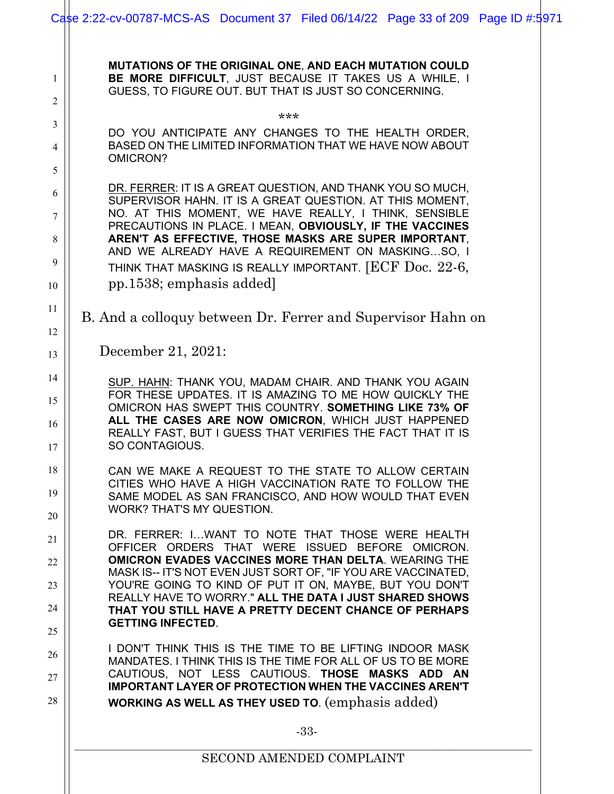<span id="page-32-0"></span>

|                            | Case 2:22-cv-00787-MCS-AS Document 37 Filed 06/14/22 Page 33 of 209 Page ID #:5971                                                                                                                                                                                                                                                                                                                                                             |
|----------------------------|------------------------------------------------------------------------------------------------------------------------------------------------------------------------------------------------------------------------------------------------------------------------------------------------------------------------------------------------------------------------------------------------------------------------------------------------|
| 1<br>2                     | MUTATIONS OF THE ORIGINAL ONE, AND EACH MUTATION COULD<br>BE MORE DIFFICULT, JUST BECAUSE IT TAKES US A WHILE, I<br>GUESS, TO FIGURE OUT. BUT THAT IS JUST SO CONCERNING.                                                                                                                                                                                                                                                                      |
| 3<br>4<br>5                | ***<br>DO YOU ANTICIPATE ANY CHANGES TO THE HEALTH ORDER,<br>BASED ON THE LIMITED INFORMATION THAT WE HAVE NOW ABOUT<br>OMICRON?                                                                                                                                                                                                                                                                                                               |
| 6<br>7<br>8<br>9           | DR. FERRER: IT IS A GREAT QUESTION, AND THANK YOU SO MUCH,<br>SUPERVISOR HAHN. IT IS A GREAT QUESTION. AT THIS MOMENT,<br>NO. AT THIS MOMENT, WE HAVE REALLY, I THINK, SENSIBLE<br>PRECAUTIONS IN PLACE. I MEAN, OBVIOUSLY, IF THE VACCINES<br>AREN'T AS EFFECTIVE, THOSE MASKS ARE SUPER IMPORTANT,<br>AND WE ALREADY HAVE A REQUIREMENT ON MASKINGSO, I<br>THINK THAT MASKING IS REALLY IMPORTANT. [ECF Doc. 22-6,                           |
| 10<br>11                   | pp.1538; emphasis added                                                                                                                                                                                                                                                                                                                                                                                                                        |
| 12<br>13                   | B. And a colloquy between Dr. Ferrer and Supervisor Hahn on<br>December 21, 2021:                                                                                                                                                                                                                                                                                                                                                              |
| 14<br>15<br>16<br>17       | SUP. HAHN: THANK YOU, MADAM CHAIR. AND THANK YOU AGAIN<br>FOR THESE UPDATES. IT IS AMAZING TO ME HOW QUICKLY THE<br>OMICRON HAS SWEPT THIS COUNTRY. SOMETHING LIKE 73% OF<br>ALL THE CASES ARE NOW OMICRON, WHICH JUST HAPPENED<br>REALLY FAST, BUT I GUESS THAT VERIFIES THE FACT THAT IT IS<br>SO CONTAGIOUS.                                                                                                                                |
| 18<br>19<br>20             | CAN WE MAKE A REQUEST TO THE STATE TO ALLOW CERTAIN<br>CITIES WHO HAVE A HIGH VACCINATION RATE TO FOLLOW THE<br>SAME MODEL AS SAN FRANCISCO, AND HOW WOULD THAT EVEN<br>WORK? THAT'S MY QUESTION.                                                                                                                                                                                                                                              |
| 21<br>22<br>23<br>24<br>25 | DR. FERRER: IWANT TO NOTE THAT THOSE WERE HEALTH<br>OFFICER ORDERS THAT WERE ISSUED BEFORE OMICRON.<br><b>OMICRON EVADES VACCINES MORE THAN DELTA. WEARING THE</b><br>MASK IS-- IT'S NOT EVEN JUST SORT OF, "IF YOU ARE VACCINATED,<br>YOU'RE GOING TO KIND OF PUT IT ON, MAYBE, BUT YOU DON'T<br>REALLY HAVE TO WORRY." ALL THE DATA I JUST SHARED SHOWS<br>THAT YOU STILL HAVE A PRETTY DECENT CHANCE OF PERHAPS<br><b>GETTING INFECTED.</b> |
| 26<br>27<br>28             | I DON'T THINK THIS IS THE TIME TO BE LIFTING INDOOR MASK<br>MANDATES. I THINK THIS IS THE TIME FOR ALL OF US TO BE MORE<br>CAUTIOUS, NOT LESS CAUTIOUS. THOSE MASKS ADD AN<br><b>IMPORTANT LAYER OF PROTECTION WHEN THE VACCINES AREN'T</b><br><b>WORKING AS WELL AS THEY USED TO.</b> (emphasis added)                                                                                                                                        |
|                            | $-33-$                                                                                                                                                                                                                                                                                                                                                                                                                                         |
|                            | <b>SECOND AMENDED COMPLAINT</b>                                                                                                                                                                                                                                                                                                                                                                                                                |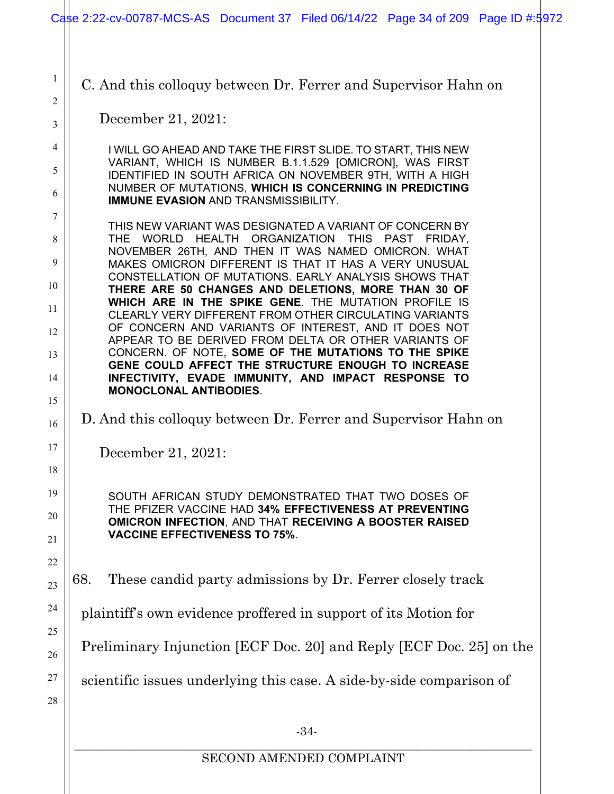C. And this colloquy between Dr. Ferrer and Supervisor Hahn on

December 21, 2021:

1

2

3

4

5

6

7

8

9

10

11

12

13

14

15

16

17

18

19

20

21

22

23

24

25

I WILL GO AHEAD AND TAKE THE FIRST SLIDE. TO START, THIS NEW VARIANT, WHICH IS NUMBER B.1.1.529 [OMICRON], WAS FIRST IDENTIFIED IN SOUTH AFRICA ON NOVEMBER 9TH, WITH A HIGH NUMBER OF MUTATIONS, **WHICH IS CONCERNING IN PREDICTING IMMUNE EVASION** AND TRANSMISSIBILITY.

THIS NEW VARIANT WAS DESIGNATED A VARIANT OF CONCERN BY THE WORLD HEALTH ORGANIZATION THIS PAST FRIDAY, NOVEMBER 26TH, AND THEN IT WAS NAMED OMICRON. WHAT MAKES OMICRON DIFFERENT IS THAT IT HAS A VERY UNUSUAL CONSTELLATION OF MUTATIONS. EARLY ANALYSIS SHOWS THAT **THERE ARE 50 CHANGES AND DELETIONS, MORE THAN 30 OF WHICH ARE IN THE SPIKE GENE**. THE MUTATION PROFILE IS CLEARLY VERY DIFFERENT FROM OTHER CIRCULATING VARIANTS OF CONCERN AND VARIANTS OF INTEREST, AND IT DOES NOT APPEAR TO BE DERIVED FROM DELTA OR OTHER VARIANTS OF CONCERN. OF NOTE, **SOME OF THE MUTATIONS TO THE SPIKE GENE COULD AFFECT THE STRUCTURE ENOUGH TO INCREASE INFECTIVITY, EVADE IMMUNITY, AND IMPACT RESPONSE TO MONOCLONAL ANTIBODIES**.

D. And this colloquy between Dr. Ferrer and Supervisor Hahn on

December 21, 2021:

SOUTH AFRICAN STUDY DEMONSTRATED THAT TWO DOSES OF THE PFIZER VACCINE HAD **34% EFFECTIVENESS AT PREVENTING OMICRON INFECTION**, AND THAT **RECEIVING A BOOSTER RAISED VACCINE EFFECTIVENESS TO 75%**.

68. These candid party admissions by Dr. Ferrer closely track

plaintiff's own evidence proffered in support of its Motion for

Preliminary Injunction [ECF Doc. 20] and Reply [ECF Doc. 25] on the

scientific issues underlying this case. A side-by-side comparison of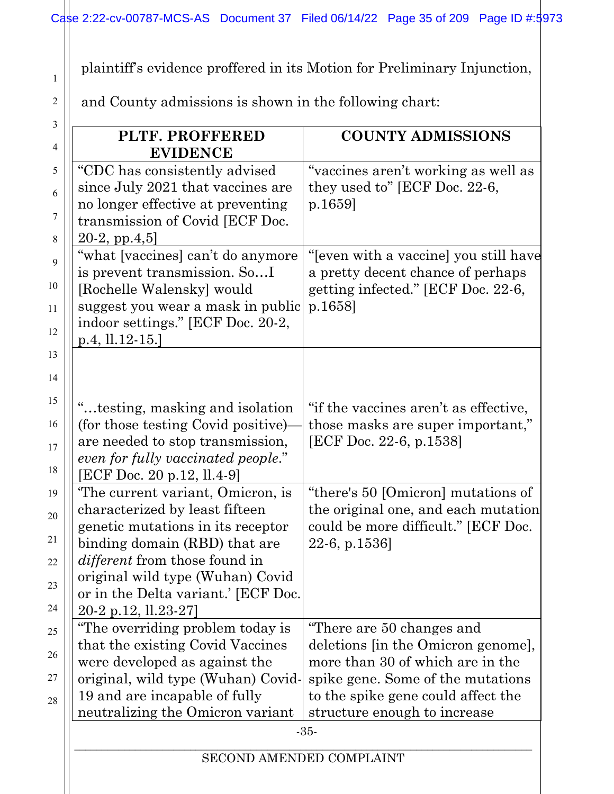plaintiff's evidence proffered in its Motion for Preliminary Injunction,

and County admissions is shown in the following chart:

1

| PLTF. PROFFERED<br><b>EVIDENCE</b>                                                                                                                                                                                                                                                  | <b>COUNTY ADMISSIONS</b>                                                                                                                                                                                       |
|-------------------------------------------------------------------------------------------------------------------------------------------------------------------------------------------------------------------------------------------------------------------------------------|----------------------------------------------------------------------------------------------------------------------------------------------------------------------------------------------------------------|
| "CDC has consistently advised<br>since July 2021 that vaccines are<br>no longer effective at preventing<br>transmission of Covid [ECF Doc.<br>$20-2$ , pp. $4,5$ ]                                                                                                                  | "vaccines aren't working as well as<br>they used to" [ECF Doc. 22-6,<br>p.1659                                                                                                                                 |
| "what [vaccines] can't do anymore<br>is prevent transmission. SoI<br>[Rochelle Walensky] would<br>suggest you wear a mask in public<br>indoor settings." [ECF Doc. 20-2,<br>$p.4, ll.12-15.]$                                                                                       | "[even with a vaccine] you still have<br>a pretty decent chance of perhaps<br>getting infected." [ECF Doc. 22-6,<br>p.1658                                                                                     |
| "testing, masking and isolation"<br>(for those testing Covid positive)<br>are needed to stop transmission,<br>even for fully vaccinated people."<br>[ECF Doc. 20 p.12, ll.4-9]                                                                                                      | "if the vaccines aren't as effective,<br>those masks are super important,"<br>[ECF Doc. 22-6, p.1538]                                                                                                          |
| The current variant, Omicron, is<br>characterized by least fifteen<br>genetic mutations in its receptor<br>binding domain (RBD) that are<br><i>different</i> from those found in<br>original wild type (Wuhan) Covid<br>or in the Delta variant.' [ECF Doc.<br>20-2 p.12, ll.23-27] | "there's 50 [Omicron] mutations of<br>the original one, and each mutation<br>could be more difficult." [ECF Doc.<br>22-6, p.1536]                                                                              |
| "The overriding problem today is<br>that the existing Covid Vaccines<br>were developed as against the<br>original, wild type (Wuhan) Covid-<br>19 and are incapable of fully<br>neutralizing the Omicron variant                                                                    | "There are 50 changes and<br>deletions [in the Omicron genome],<br>more than 30 of which are in the<br>spike gene. Some of the mutations<br>to the spike gene could affect the<br>structure enough to increase |
| SECOND AMENDED COMPLAINT                                                                                                                                                                                                                                                            | $-35-$                                                                                                                                                                                                         |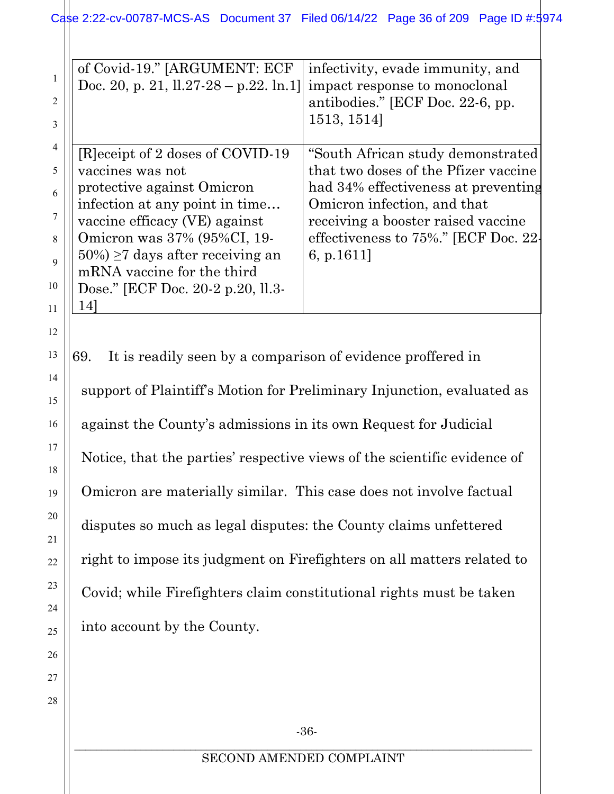|               | of Covid-19." [ARGUMENT: ECF<br>Doc. 20, p. 21, $11.27-28 - p.22$ . ln.1] | infectivity, evade immunity, and<br>impact response to monoclonal |
|---------------|---------------------------------------------------------------------------|-------------------------------------------------------------------|
| $\mathcal{L}$ |                                                                           | antibodies." [ECF Doc. 22-6, pp.                                  |
| 3             |                                                                           | 1513, 1514]                                                       |
|               |                                                                           |                                                                   |
|               | [R] eceipt of 2 doses of COVID-19                                         | "South African study demonstrated                                 |
|               | vaccines was not                                                          | that two doses of the Pfizer vaccine                              |
|               | protective against Omicron                                                | had 34% effectiveness at preventing                               |
|               | infection at any point in time                                            | Omicron infection, and that                                       |
|               | vaccine efficacy (VE) against                                             | receiving a booster raised vaccine                                |
| $\mathsf{R}$  | Omicron was 37% (95%CI, 19-                                               | effectiveness to 75%." [ECF Doc. 22-                              |
|               | $50\%) \geq 7$ days after receiving an                                    | 6, p.1611]                                                        |
|               | mRNA vaccine for the third                                                |                                                                   |
| 10            | Dose." [ECF Doc. 20-2 p.20, 11.3-                                         |                                                                   |
| 11            |                                                                           |                                                                   |

12

13

14

15

16

17

18

19

20

21

22

23

24

25

26

27

28

69. It is readily seen by a comparison of evidence proffered in support of Plaintiff's Motion for Preliminary Injunction, evaluated as against the County's admissions in its own Request for Judicial Notice, that the parties' respective views of the scientific evidence of Omicron are materially similar. This case does not involve factual disputes so much as legal disputes: the County claims unfettered right to impose its judgment on Firefighters on all matters related to Covid; while Firefighters claim constitutional rights must be taken into account by the County.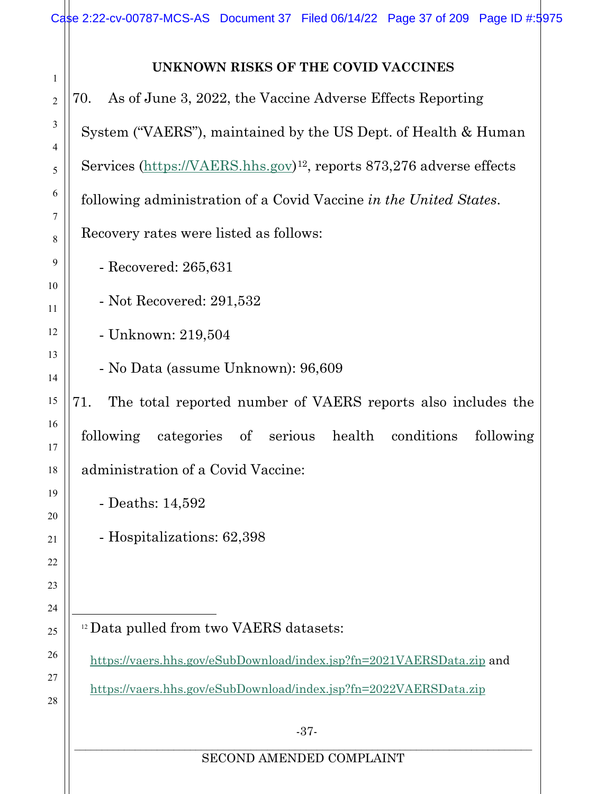# **UNKNOWN RISKS OF THE COVID VACCINES**

<span id="page-36-2"></span><span id="page-36-1"></span><span id="page-36-0"></span>

| As of June 3, 2022, the Vaccine Adverse Effects Reporting<br>70.                 |
|----------------------------------------------------------------------------------|
| System ("VAERS"), maintained by the US Dept. of Health & Human                   |
| Services (https://VAERS.hhs.gov) <sup>12</sup> , reports 873,276 adverse effects |
| following administration of a Covid Vaccine in the United States.                |
| Recovery rates were listed as follows:                                           |
| - Recovered: $265,631$                                                           |
| - Not Recovered: 291,532                                                         |
| - Unknown: 219,504                                                               |
| - No Data (assume Unknown): 96,609                                               |
| The total reported number of VAERS reports also includes the<br>71.              |
| following categories of serious health conditions<br>following                   |
| administration of a Covid Vaccine:                                               |
| - Deaths: 14,592                                                                 |
| - Hospitalizations: 62,398                                                       |
|                                                                                  |
|                                                                                  |
| <sup>12</sup> Data pulled from two VAERS datasets:                               |
| https://vaers.hhs.gov/eSubDownload/index.jsp?fn=2021VAERSData.zip and            |
| https://vaers.hhs.gov/eSubDownload/index.jsp?fn=2022VAERSData.zip                |
| $-37-$                                                                           |
| SECOND AMENDED COMPLAINT                                                         |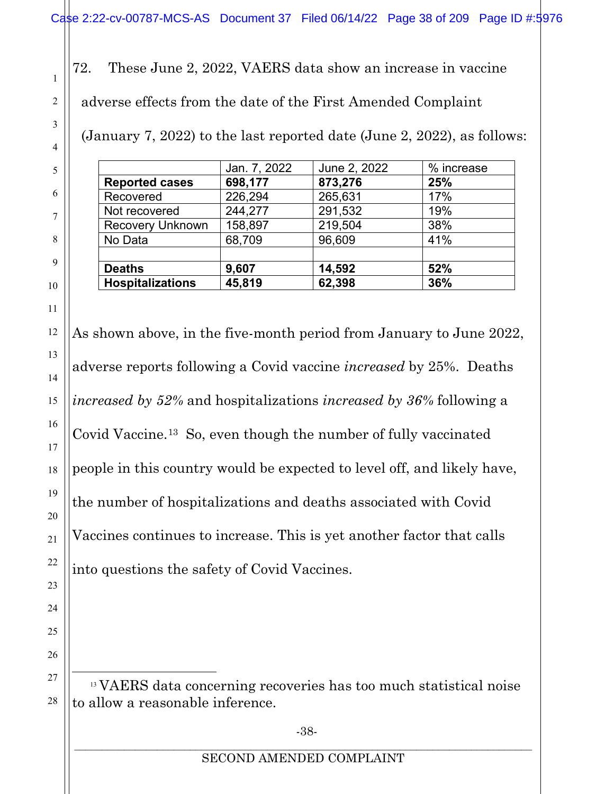<span id="page-37-0"></span>72. These June 2, 2022, VAERS data show an increase in vaccine adverse effects from the date of the First Amended Complaint

(January 7, 2022) to the last reported date (June 2, 2022), as follows:

|                         | Jan. 7, 2022 | June 2, 2022 | % increase |
|-------------------------|--------------|--------------|------------|
| <b>Reported cases</b>   | 698,177      | 873,276      | 25%        |
| Recovered               | 226,294      | 265,631      | 17%        |
| Not recovered           | 244,277      | 291,532      | 19%        |
| <b>Recovery Unknown</b> | 158,897      | 219,504      | 38%        |
| No Data                 | 68,709       | 96,609       | 41%        |
| <b>Deaths</b>           | 9,607        | 14,592       | 52%        |
| <b>Hospitalizations</b> | 45,819       | 62,398       | 36%        |

As shown above, in the five-month period from January to June 2022, adverse reports following a Covid vaccine *increased* by 25%. Deaths *increased by 52%* and hospitalizations *increased by 36%* following a Covid Vaccine.[13](#page-37-1) So, even though the number of fully vaccinated people in this country would be expected to level off, and likely have, the number of hospitalizations and deaths associated with Covid Vaccines continues to increase. This is yet another factor that calls into questions the safety of Covid Vaccines.

<span id="page-37-1"></span><sup>13</sup> VAERS data concerning recoveries has too much statistical noise to allow a reasonable inference.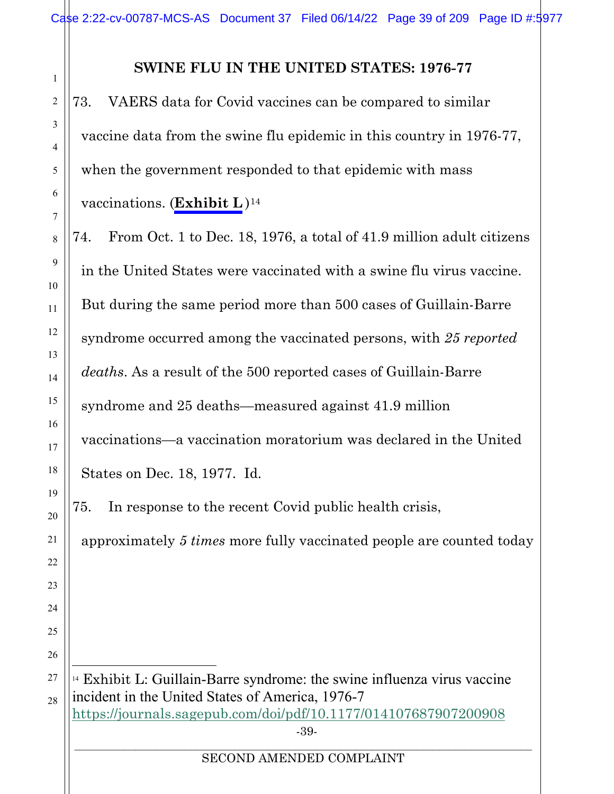# **SWINE FLU IN THE UNITED STATES: 1976-77**

<span id="page-38-0"></span>73. VAERS data for Covid vaccines can be compared to similar vaccine data from the swine flu epidemic in this country in 1976-77, when the government responded to that epidemic with mass vaccinations. (**Exhibit L** )[14](#page-38-1) 

74. From Oct. 1 to Dec. 18, 1976, a total of 41.9 million adult citizens in the United States were vaccinated with a swine flu virus vaccine. But during the same period more than 500 cases of Guillain-Barre syndrome occurred among the vaccinated persons, with *25 reported deaths*. As a result of the 500 reported cases of Guillain-Barre syndrome and 25 deaths—measured against 41.9 million vaccinations—a vaccination moratorium was declared in the United States on Dec. 18, 1977. Id.

75. In response to the recent Covid public health crisis,

approximately *5 times* more fully vaccinated people are counted today

<span id="page-38-1"></span>-39- <sup>14</sup> Exhibit L: Guillain-Barre syndrome: the swine influenza virus vaccine incident in the United States of America, 1976-7 <https://journals.sagepub.com/doi/pdf/10.1177/014107687907200908>

#### \_\_\_\_\_\_\_\_\_\_\_\_\_\_\_\_\_\_\_\_\_\_\_\_\_\_\_\_\_\_\_\_\_\_\_\_\_\_\_\_\_\_\_\_\_\_\_\_\_\_\_\_\_\_\_\_\_\_\_\_\_\_\_\_\_\_\_\_\_\_\_\_\_\_\_\_\_\_\_\_\_\_\_ SECOND AMENDED COMPLAINT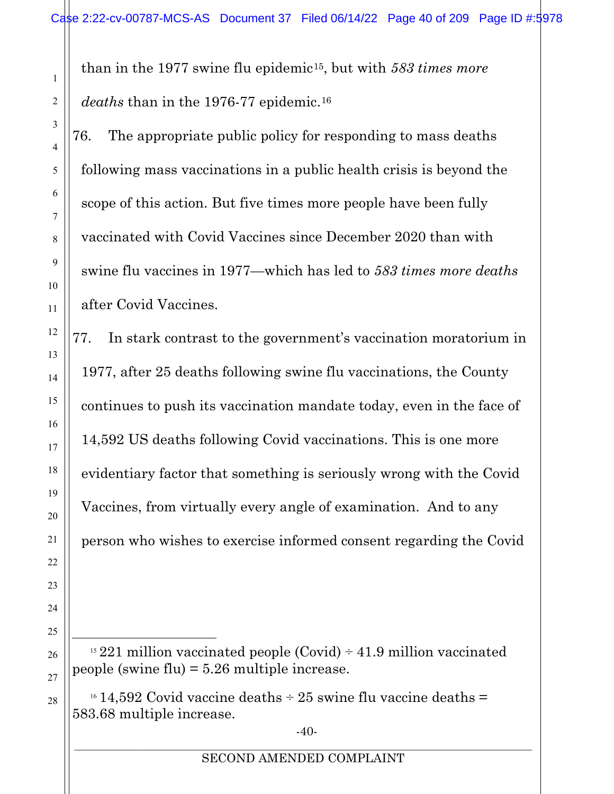than in the 1977 swine flu epidemic[15,](#page-39-0) but with *583 times more deaths* than in the 1976-77 epidemic.[16](#page-39-1)

76. The appropriate public policy for responding to mass deaths following mass vaccinations in a public health crisis is beyond the scope of this action. But five times more people have been fully vaccinated with Covid Vaccines since December 2020 than with swine flu vaccines in 1977—which has led to *583 times more deaths* after Covid Vaccines.

77. In stark contrast to the government's vaccination moratorium in 1977, after 25 deaths following swine flu vaccinations, the County continues to push its vaccination mandate today, even in the face of 14,592 US deaths following Covid vaccinations. This is one more evidentiary factor that something is seriously wrong with the Covid Vaccines, from virtually every angle of examination. And to any person who wishes to exercise informed consent regarding the Covid

<span id="page-39-0"></span><sup>15</sup> 221 million vaccinated people (Covid)  $\div$  41.9 million vaccinated people (swine flu) = 5.26 multiple increase.

<span id="page-39-1"></span> $16\,14,592$  Covid vaccine deaths  $\div$  25 swine flu vaccine deaths = 583.68 multiple increase.

-40-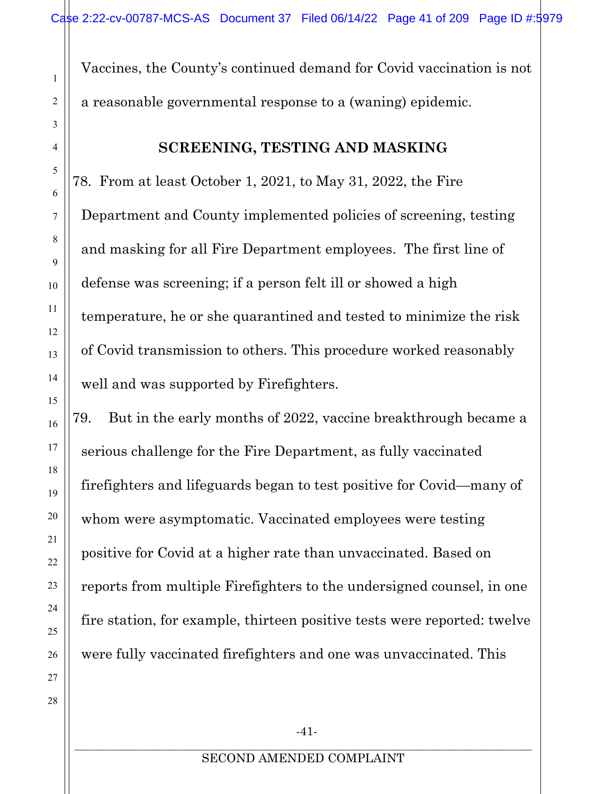Vaccines, the County's continued demand for Covid vaccination is not a reasonable governmental response to a (waning) epidemic.

# **SCREENING, TESTING AND MASKING**

<span id="page-40-0"></span>78. From at least October 1, 2021, to May 31, 2022, the Fire Department and County implemented policies of screening, testing and masking for all Fire Department employees. The first line of defense was screening; if a person felt ill or showed a high temperature, he or she quarantined and tested to minimize the risk of Covid transmission to others. This procedure worked reasonably well and was supported by Firefighters.

79. But in the early months of 2022, vaccine breakthrough became a serious challenge for the Fire Department, as fully vaccinated firefighters and lifeguards began to test positive for Covid—many of whom were asymptomatic. Vaccinated employees were testing positive for Covid at a higher rate than unvaccinated. Based on reports from multiple Firefighters to the undersigned counsel, in one fire station, for example, thirteen positive tests were reported: twelve were fully vaccinated firefighters and one was unvaccinated. This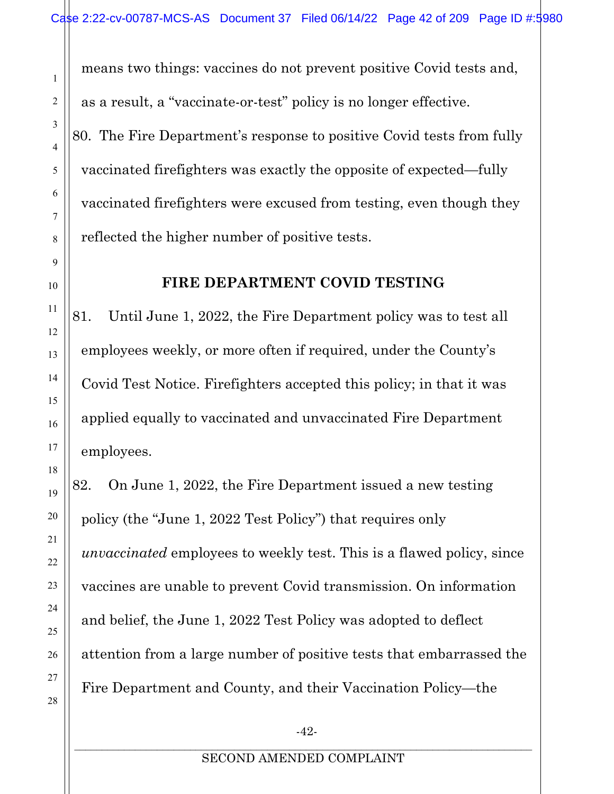means two things: vaccines do not prevent positive Covid tests and, as a result, a "vaccinate-or-test" policy is no longer effective. 80. The Fire Department's response to positive Covid tests from fully vaccinated firefighters was exactly the opposite of expected—fully vaccinated firefighters were excused from testing, even though they reflected the higher number of positive tests.

# **FIRE DEPARTMENT COVID TESTING**

81. Until June 1, 2022, the Fire Department policy was to test all employees weekly, or more often if required, under the County's Covid Test Notice. Firefighters accepted this policy; in that it was applied equally to vaccinated and unvaccinated Fire Department employees.

82. On June 1, 2022, the Fire Department issued a new testing policy (the "June 1, 2022 Test Policy") that requires only *unvaccinated* employees to weekly test. This is a flawed policy, since vaccines are unable to prevent Covid transmission. On information and belief, the June 1, 2022 Test Policy was adopted to deflect attention from a large number of positive tests that embarrassed the Fire Department and County, and their Vaccination Policy—the

1

2

3

4

5

6

7

8

<span id="page-41-0"></span>9

10

11

12

13

14

15

16

17

18

19

20

21

22

23

24

25

26

27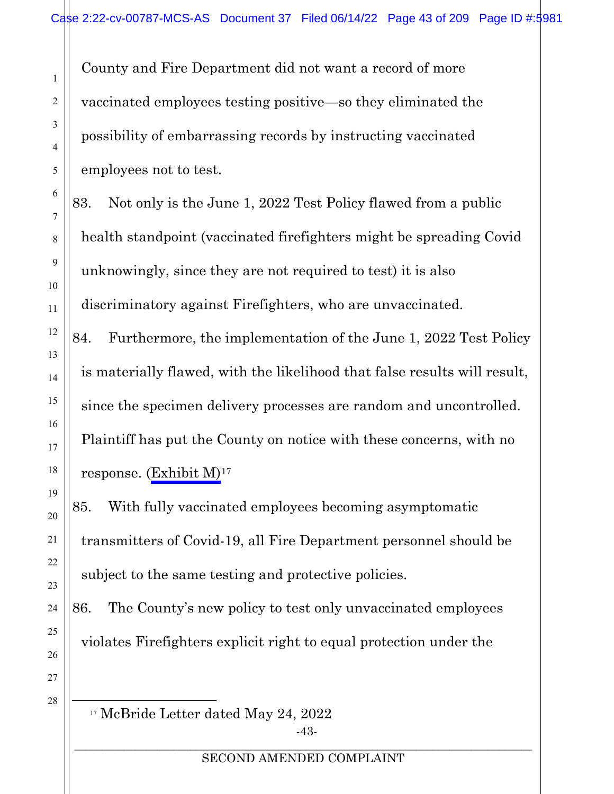County and Fire Department did not want a record of more vaccinated employees testing positive—so they eliminated the possibility of embarrassing records by instructing vaccinated employees not to test.

83. Not only is the June 1, 2022 Test Policy flawed from a public health standpoint (vaccinated firefighters might be spreading Covid unknowingly, since they are not required to test) it is also discriminatory against Firefighters, who are unvaccinated.

84. Furthermore, the implementation of the June 1, 2022 Test Policy is materially flawed, with the likelihood that false results will result, since the specimen delivery processes are random and uncontrolled. Plaintiff has put the County on notice with these concerns, with no response. (Exhibit  $M$ )<sup>[17](#page-42-0)</sup>

85. With fully vaccinated employees becoming asymptomatic transmitters of Covid-19, all Fire Department personnel should be subject to the same testing and protective policies.

86. The County's new policy to test only unvaccinated employees violates Firefighters explicit right to equal protection under the

<span id="page-42-0"></span>28

1

2

3

4

5

6

7

8

9

10

11

12

13

14

15

16

17

18

19

20

21

22

23

24

25

26

27

<sup>17</sup> McBride Letter dated May 24, 2022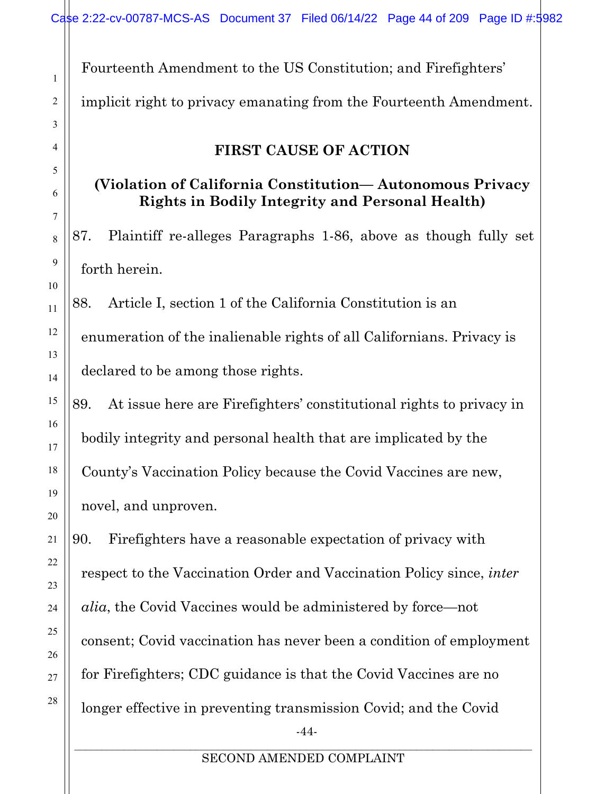Fourteenth Amendment to the US Constitution; and Firefighters' implicit right to privacy emanating from the Fourteenth Amendment.

# **FIRST CAUSE OF ACTION**

# <span id="page-43-0"></span>**(Violation of California Constitution— Autonomous Privacy Rights in Bodily Integrity and Personal Health)**

87. Plaintiff re-alleges Paragraphs 1-86, above as though fully set forth herein.

88. Article I, section 1 of the California Constitution is an enumeration of the inalienable rights of all Californians. Privacy is declared to be among those rights.

89. At issue here are Firefighters' constitutional rights to privacy in bodily integrity and personal health that are implicated by the County's Vaccination Policy because the Covid Vaccines are new, novel, and unproven.

-44- 90. Firefighters have a reasonable expectation of privacy with respect to the Vaccination Order and Vaccination Policy since, *inter alia*, the Covid Vaccines would be administered by force—not consent; Covid vaccination has never been a condition of employment for Firefighters; CDC guidance is that the Covid Vaccines are no longer effective in preventing transmission Covid; and the Covid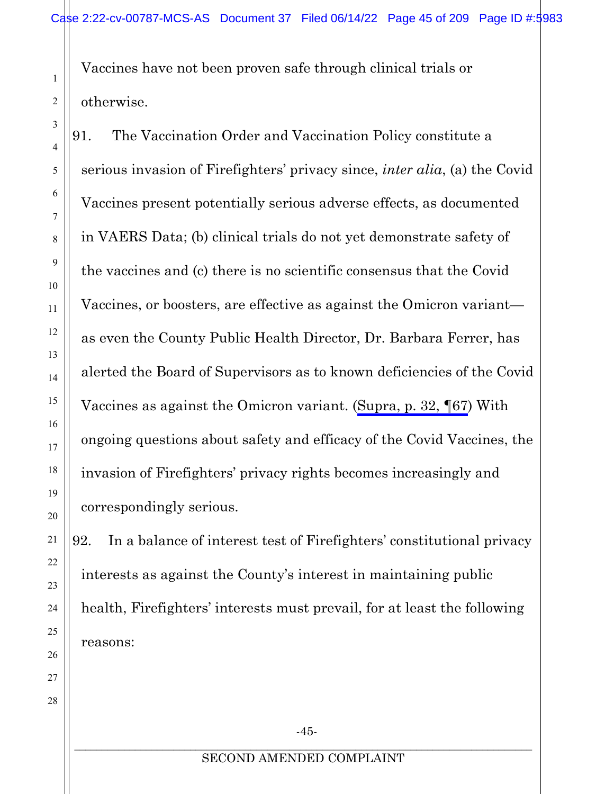<span id="page-44-0"></span>Vaccines have not been proven safe through clinical trials or otherwise.

91. The Vaccination Order and Vaccination Policy constitute a serious invasion of Firefighters' privacy since, *inter alia*, (a) the Covid Vaccines present potentially serious adverse effects, as documented in VAERS Data; (b) clinical trials do not yet demonstrate safety of the vaccines and (c) there is no scientific consensus that the Covid Vaccines, or boosters, are effective as against the Omicron variant as even the County Public Health Director, Dr. Barbara Ferrer, has alerted the Board of Supervisors as to known deficiencies of the Covid Vaccines as against the Omicron variant. [\(Supra, p. 32, ¶67\)](#page-31-1) With ongoing questions about safety and efficacy of the Covid Vaccines, the invasion of Firefighters' privacy rights becomes increasingly and correspondingly serious.

92. In a balance of interest test of Firefighters' constitutional privacy interests as against the County's interest in maintaining public health, Firefighters' interests must prevail, for at least the following reasons: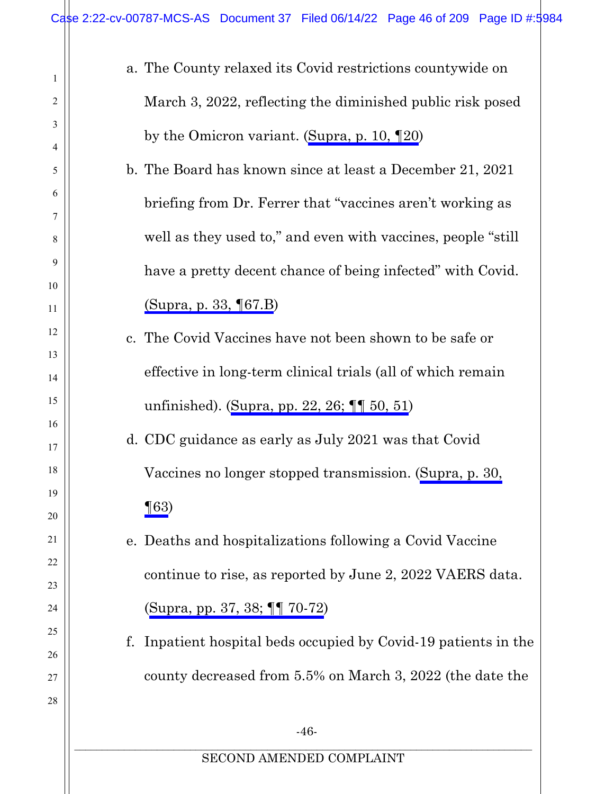$\mathbb{H}$ 

| $\mathbf{1}$   | a. The County relaxed its Covid restrictions countywide on         |
|----------------|--------------------------------------------------------------------|
| 2              | March 3, 2022, reflecting the diminished public risk posed         |
| 3              | by the Omicron variant. (Supra, p. 10, $\P$ 20)                    |
| 4              |                                                                    |
| 5              | b. The Board has known since at least a December 21, 2021          |
| 6<br>7         | briefing from Dr. Ferrer that "vaccines aren't working as          |
| $8\phantom{1}$ | well as they used to," and even with vaccines, people "still"      |
| 9              | have a pretty decent chance of being infected" with Covid.         |
| 10             |                                                                    |
| 11             | (Supra, p. 33, ¶67.B)                                              |
| 12             | c. The Covid Vaccines have not been shown to be safe or            |
| 13             |                                                                    |
| 14             | effective in long-term clinical trials (all of which remain        |
| 15             | unfinished). (Supra, pp. 22, 26; $\P\P$ 50, 51)                    |
| 16<br>17       | d. CDC guidance as early as July 2021 was that Covid               |
| 18             | Vaccines no longer stopped transmission. (Supra, p. 30,            |
| 19             |                                                                    |
| 20             | $\P(63)$                                                           |
| 21             | e. Deaths and hospitalizations following a Covid Vaccine           |
| 22             |                                                                    |
| 23             | continue to rise, as reported by June 2, 2022 VAERS data.          |
| 24             | (Supra, pp. 37, 38; $\P\P$ 70-72)                                  |
| 25             | Inpatient hospital beds occupied by Covid-19 patients in the<br>f. |
| 26             |                                                                    |
| 27             | county decreased from 5.5% on March 3, 2022 (the date the          |
| 28             |                                                                    |
|                | $-46-$                                                             |
|                | SECOND AMENDED COMPLAINT                                           |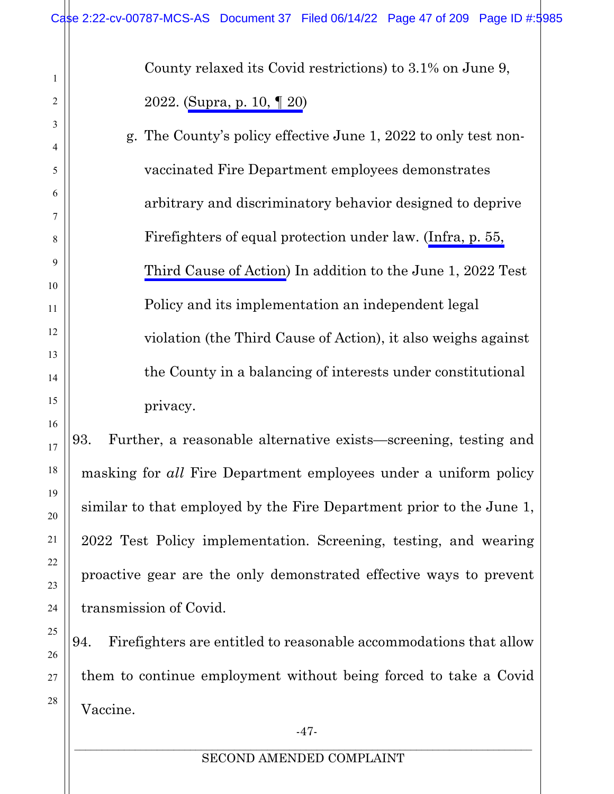County relaxed its Covid restrictions) to 3.1% on June 9, 2022. ([Supra, p. 10, ¶](#page-9-0) 20)

g. The County's policy effective June 1, 2022 to only test nonvaccinated Fire Department employees demonstrates arbitrary and discriminatory behavior designed to deprive Firefighters of equal protection under law. [\(Infra, p. 55,](#page-54-1) [Third Cause of Action](#page-54-1)) In addition to the June 1, 2022 Test Policy and its implementation an independent legal violation (the Third Cause of Action), it also weighs against the County in a balancing of interests under constitutional privacy.

93. Further, a reasonable alternative exists—screening, testing and masking for *all* Fire Department employees under a uniform policy similar to that employed by the Fire Department prior to the June 1, 2022 Test Policy implementation. Screening, testing, and wearing proactive gear are the only demonstrated effective ways to prevent transmission of Covid.

94. Firefighters are entitled to reasonable accommodations that allow them to continue employment without being forced to take a Covid Vaccine.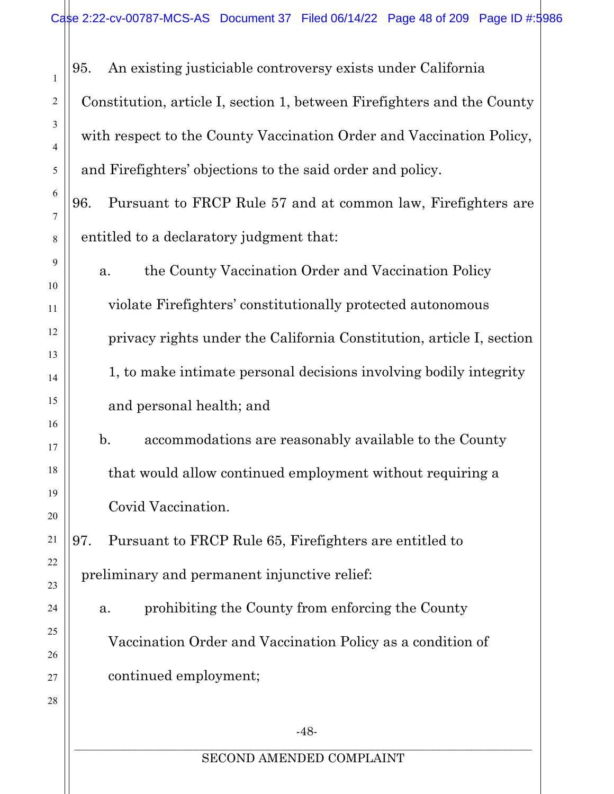95. An existing justiciable controversy exists under California Constitution, article I, section 1, between Firefighters and the County with respect to the County Vaccination Order and Vaccination Policy, and Firefighters' objections to the said order and policy.

96. Pursuant to FRCP Rule 57 and at common law, Firefighters are entitled to a declaratory judgment that:

a. the County Vaccination Order and Vaccination Policy violate Firefighters' constitutionally protected autonomous privacy rights under the California Constitution, article I, section 1, to make intimate personal decisions involving bodily integrity and personal health; and

b. accommodations are reasonably available to the County that would allow continued employment without requiring a Covid Vaccination.

97. Pursuant to FRCP Rule 65, Firefighters are entitled to preliminary and permanent injunctive relief:

a. prohibiting the County from enforcing the County Vaccination Order and Vaccination Policy as a condition of continued employment;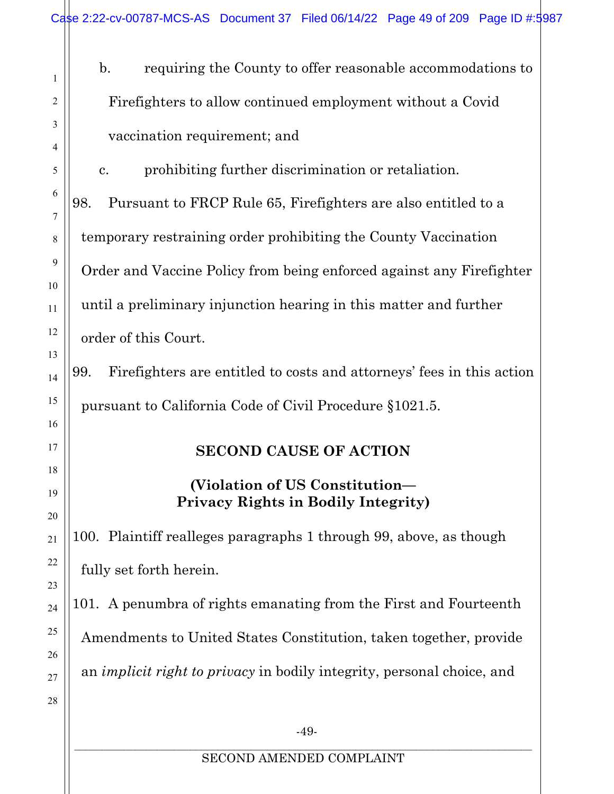b. requiring the County to offer reasonable accommodations to Firefighters to allow continued employment without a Covid vaccination requirement; and

c. prohibiting further discrimination or retaliation.

98. Pursuant to FRCP Rule 65, Firefighters are also entitled to a temporary restraining order prohibiting the County Vaccination Order and Vaccine Policy from being enforced against any Firefighter until a preliminary injunction hearing in this matter and further order of this Court.

<span id="page-48-0"></span>99. Firefighters are entitled to costs and attorneys' fees in this action pursuant to California Code of Civil Procedure §1021.5.

# **SECOND CAUSE OF ACTION**

# **(Violation of US Constitution— Privacy Rights in Bodily Integrity)**

100. Plaintiff realleges paragraphs 1 through 99, above, as though fully set forth herein.

101. A penumbra of rights emanating from the First and Fourteenth Amendments to United States Constitution, taken together, provide an *implicit right to privacy* in bodily integrity, personal choice, and

1

2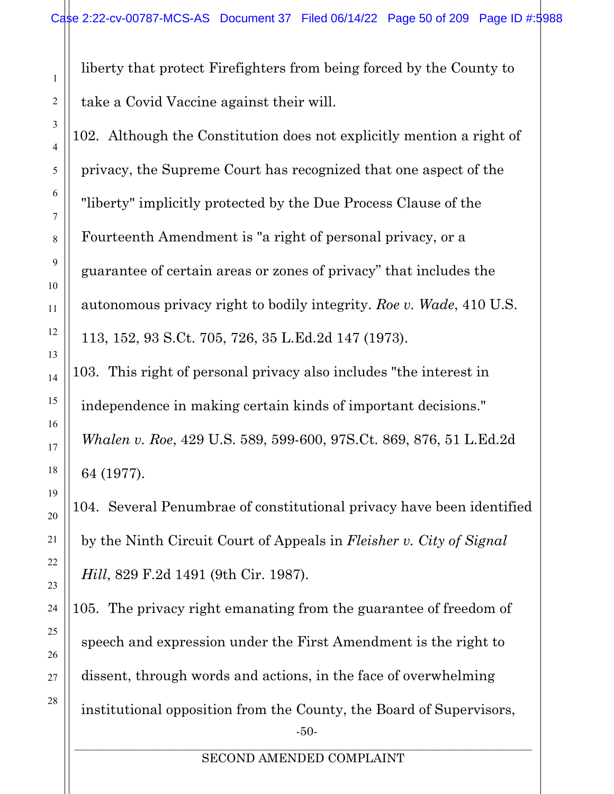liberty that protect Firefighters from being forced by the County to take a Covid Vaccine against their will.

102. Although the Constitution does not explicitly mention a right of privacy, the Supreme Court has recognized that one aspect of the "liberty" implicitly protected by the Due Process Clause of the Fourteenth Amendment is "a right of personal privacy, or a guarantee of certain areas or zones of privacy" that includes the autonomous privacy right to bodily integrity. *Roe v. Wade*, 410 U.S. 113, 152, 93 S.Ct. 705, 726, 35 L.Ed.2d 147 (1973).

103. This right of personal privacy also includes "the interest in independence in making certain kinds of important decisions." *Whalen v. Roe*, 429 U.S. 589, 599-600, 97S.Ct. 869, 876, 51 L.Ed.2d 64 (1977).

104. Several Penumbrae of constitutional privacy have been identified by the Ninth Circuit Court of Appeals in *Fleisher v. City of Signal Hill*, 829 F.2d 1491 (9th Cir. 1987).

-50- 105. The privacy right emanating from the guarantee of freedom of speech and expression under the First Amendment is the right to dissent, through words and actions, in the face of overwhelming institutional opposition from the County, the Board of Supervisors,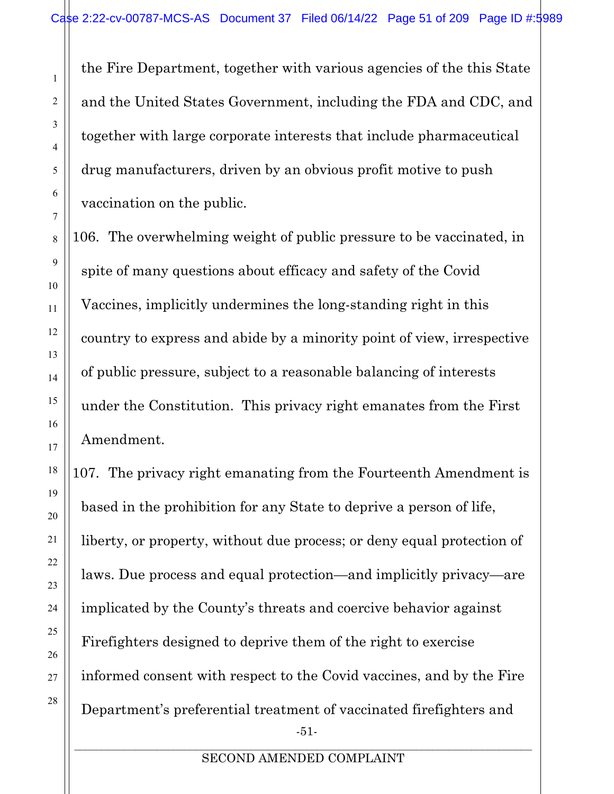the Fire Department, together with various agencies of the this State and the United States Government, including the FDA and CDC, and together with large corporate interests that include pharmaceutical drug manufacturers, driven by an obvious profit motive to push vaccination on the public.

106. The overwhelming weight of public pressure to be vaccinated, in spite of many questions about efficacy and safety of the Covid Vaccines, implicitly undermines the long-standing right in this country to express and abide by a minority point of view, irrespective of public pressure, subject to a reasonable balancing of interests under the Constitution. This privacy right emanates from the First Amendment.

-51- 107. The privacy right emanating from the Fourteenth Amendment is based in the prohibition for any State to deprive a person of life, liberty, or property, without due process; or deny equal protection of laws. Due process and equal protection—and implicitly privacy—are implicated by the County's threats and coercive behavior against Firefighters designed to deprive them of the right to exercise informed consent with respect to the Covid vaccines, and by the Fire Department's preferential treatment of vaccinated firefighters and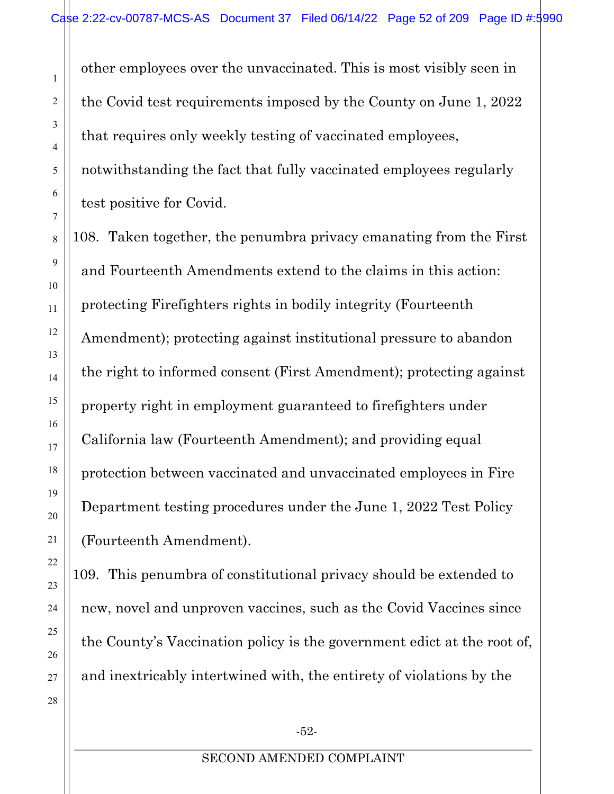other employees over the unvaccinated. This is most visibly seen in the Covid test requirements imposed by the County on June 1, 2022 that requires only weekly testing of vaccinated employees, notwithstanding the fact that fully vaccinated employees regularly test positive for Covid.

108. Taken together, the penumbra privacy emanating from the First and Fourteenth Amendments extend to the claims in this action: protecting Firefighters rights in bodily integrity (Fourteenth Amendment); protecting against institutional pressure to abandon the right to informed consent (First Amendment); protecting against property right in employment guaranteed to firefighters under California law (Fourteenth Amendment); and providing equal protection between vaccinated and unvaccinated employees in Fire Department testing procedures under the June 1, 2022 Test Policy (Fourteenth Amendment).

109. This penumbra of constitutional privacy should be extended to new, novel and unproven vaccines, such as the Covid Vaccines since the County's Vaccination policy is the government edict at the root of, and inextricably intertwined with, the entirety of violations by the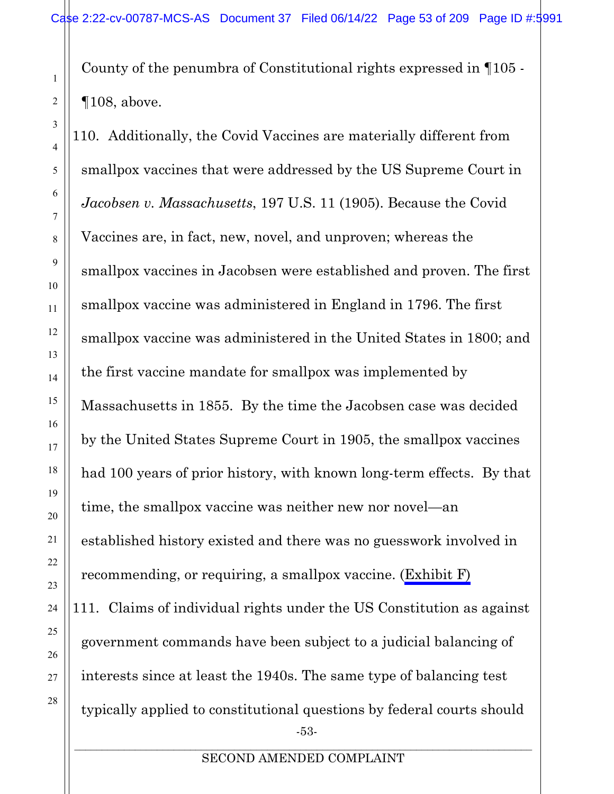County of the penumbra of Constitutional rights expressed in ¶105 - ¶108, above.

-53- 110. Additionally, the Covid Vaccines are materially different from smallpox vaccines that were addressed by the US Supreme Court in *Jacobsen v. Massachusetts*, 197 U.S. 11 (1905). Because the Covid Vaccines are, in fact, new, novel, and unproven; whereas the smallpox vaccines in Jacobsen were established and proven. The first smallpox vaccine was administered in England in 1796. The first smallpox vaccine was administered in the United States in 1800; and the first vaccine mandate for smallpox was implemented by Massachusetts in 1855. By the time the Jacobsen case was decided by the United States Supreme Court in 1905, the smallpox vaccines had 100 years of prior history, with known long-term effects. By that time, the smallpox vaccine was neither new nor novel—an established history existed and there was no guesswork involved in recommending, or requiring, a smallpox vaccine. (Exhibit F) 111. Claims of individual rights under the US Constitution as against government commands have been subject to a judicial balancing of interests since at least the 1940s. The same type of balancing test typically applied to constitutional questions by federal courts should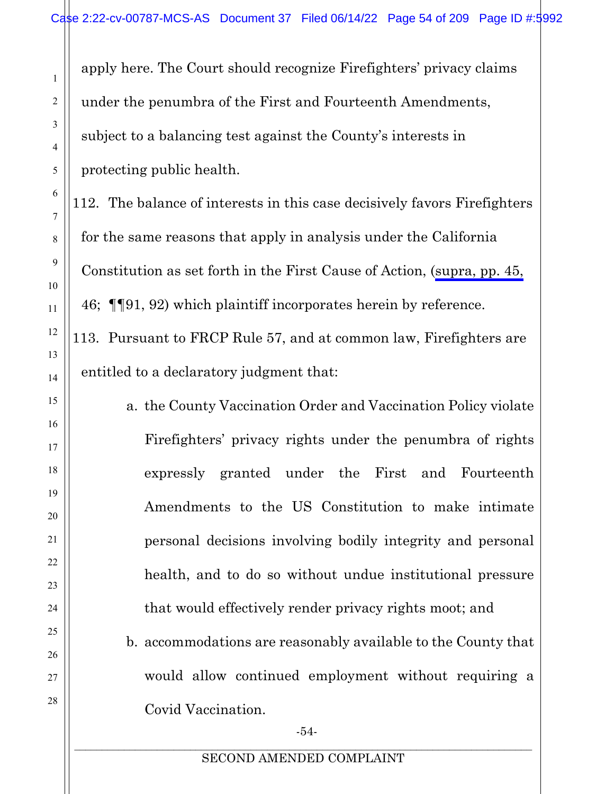apply here. The Court should recognize Firefighters' privacy claims under the penumbra of the First and Fourteenth Amendments, subject to a balancing test against the County's interests in protecting public health.

112. The balance of interests in this case decisively favors Firefighters for the same reasons that apply in analysis under the California Constitution as set forth in the First Cause of Action, [\(supra, pp. 45,](#page-44-0) 46; ¶¶91, 92) which plaintiff incorporates herein by reference. 113. Pursuant to FRCP Rule 57, and at common law, Firefighters are entitled to a declaratory judgment that:

> a. the County Vaccination Order and Vaccination Policy violate Firefighters' privacy rights under the penumbra of rights expressly granted under the First and Fourteenth Amendments to the US Constitution to make intimate personal decisions involving bodily integrity and personal health, and to do so without undue institutional pressure that would effectively render privacy rights moot; and

> b. accommodations are reasonably available to the County that would allow continued employment without requiring a Covid Vaccination.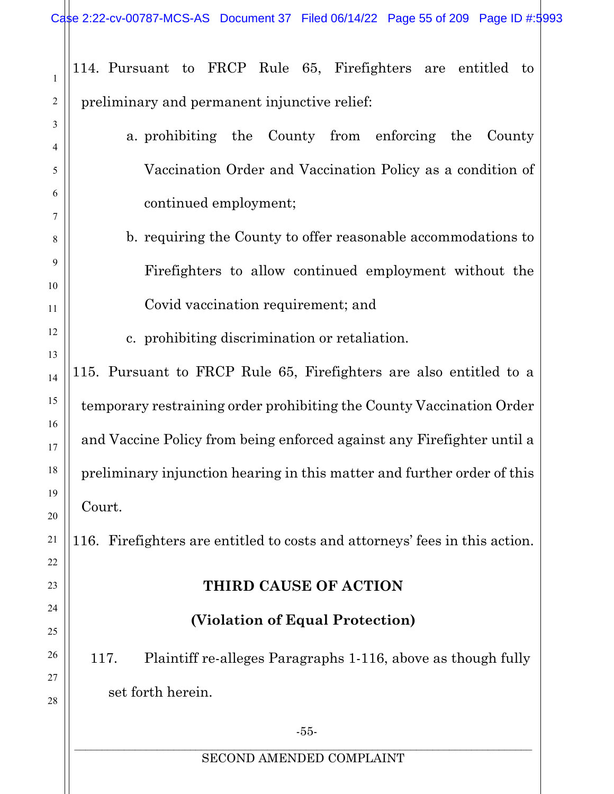<span id="page-54-1"></span>

| 1        | 114. Pursuant to FRCP Rule 65, Firefighters are entitled to                 |
|----------|-----------------------------------------------------------------------------|
| 2        | preliminary and permanent injunctive relief:                                |
| 3        | a prohibiting the County from enforcing the<br>County                       |
| 4        |                                                                             |
| 5        | Vaccination Order and Vaccination Policy as a condition of                  |
| 6        | continued employment;                                                       |
| 7<br>8   | b. requiring the County to offer reasonable accommodations to               |
| 9        |                                                                             |
| 10       | Firefighters to allow continued employment without the                      |
| 11       | Covid vaccination requirement; and                                          |
| 12       | c. prohibiting discrimination or retaliation.                               |
| 13       | 115. Pursuant to FRCP Rule 65, Firefighters are also entitled to a          |
| 14       |                                                                             |
| 15<br>16 | temporary restraining order prohibiting the County Vaccination Order        |
| 17       | and Vaccine Policy from being enforced against any Firefighter until a      |
| 18       | preliminary injunction hearing in this matter and further order of this     |
| 19<br>20 | Court.                                                                      |
| 21       | 116. Firefighters are entitled to costs and attorneys' fees in this action. |
| 22       |                                                                             |
| 23       | THIRD CAUSE OF ACTION                                                       |
| 24<br>25 | (Violation of Equal Protection)                                             |
| 26       | Plaintiff re-alleges Paragraphs 1-116, above as though fully<br>117.        |
| 27<br>28 | set forth herein.                                                           |
|          | $-55-$                                                                      |
|          | SECOND AMENDED COMPLAINT                                                    |

<span id="page-54-0"></span> $\parallel$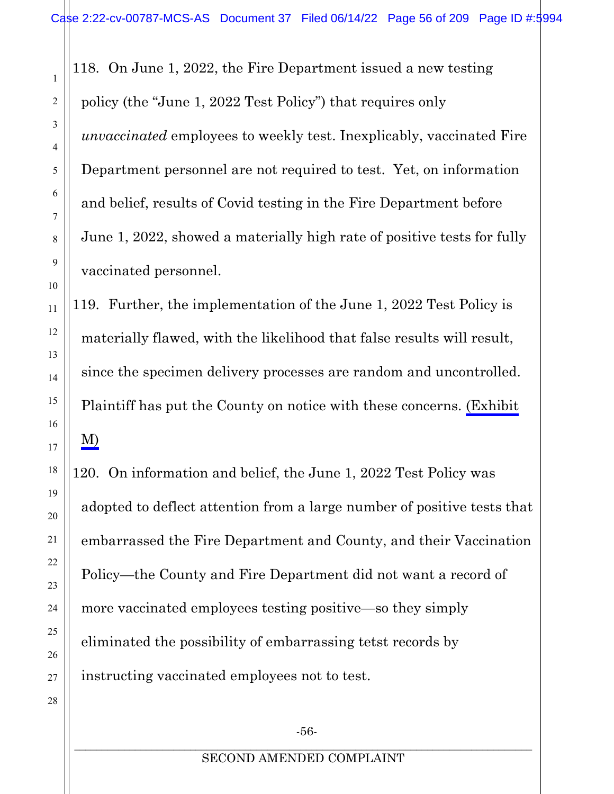118. On June 1, 2022, the Fire Department issued a new testing policy (the "June 1, 2022 Test Policy") that requires only *unvaccinated* employees to weekly test. Inexplicably, vaccinated Fire Department personnel are not required to test. Yet, on information and belief, results of Covid testing in the Fire Department before June 1, 2022, showed a materially high rate of positive tests for fully vaccinated personnel.

119. Further, the implementation of the June 1, 2022 Test Policy is materially flawed, with the likelihood that false results will result, since the specimen delivery processes are random and uncontrolled. Plaintiff has put the County on notice with these concerns. (Exhibit M)

120. On information and belief, the June 1, 2022 Test Policy was adopted to deflect attention from a large number of positive tests that embarrassed the Fire Department and County, and their Vaccination Policy—the County and Fire Department did not want a record of more vaccinated employees testing positive—so they simply eliminated the possibility of embarrassing tetst records by instructing vaccinated employees not to test.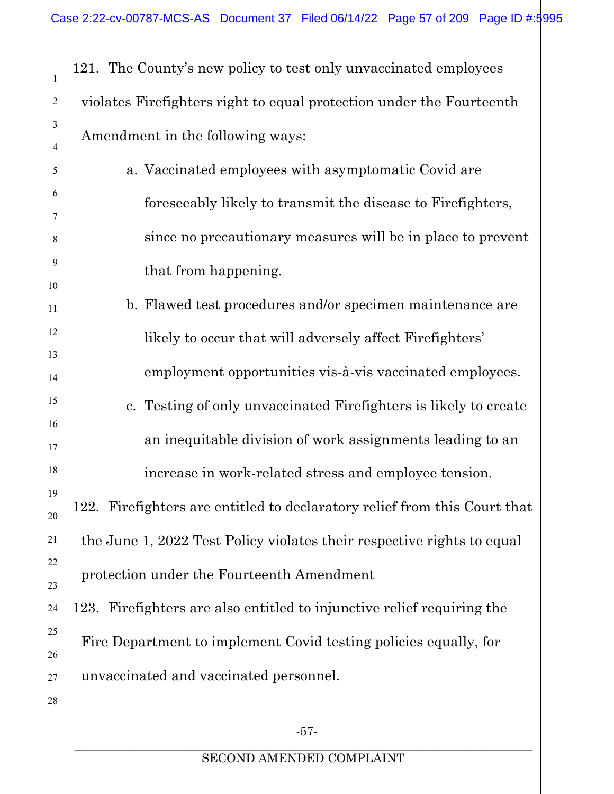121. The County's new policy to test only unvaccinated employees violates Firefighters right to equal protection under the Fourteenth Amendment in the following ways:

- a. Vaccinated employees with asymptomatic Covid are foreseeably likely to transmit the disease to Firefighters, since no precautionary measures will be in place to prevent that from happening.
	- b. Flawed test procedures and/or specimen maintenance are likely to occur that will adversely affect Firefighters' employment opportunities vis-à-vis vaccinated employees.
	- c. Testing of only unvaccinated Firefighters is likely to create an inequitable division of work assignments leading to an

increase in work-related stress and employee tension.

122. Firefighters are entitled to declaratory relief from this Court that the June 1, 2022 Test Policy violates their respective rights to equal protection under the Fourteenth Amendment

123. Firefighters are also entitled to injunctive relief requiring the Fire Department to implement Covid testing policies equally, for unvaccinated and vaccinated personnel.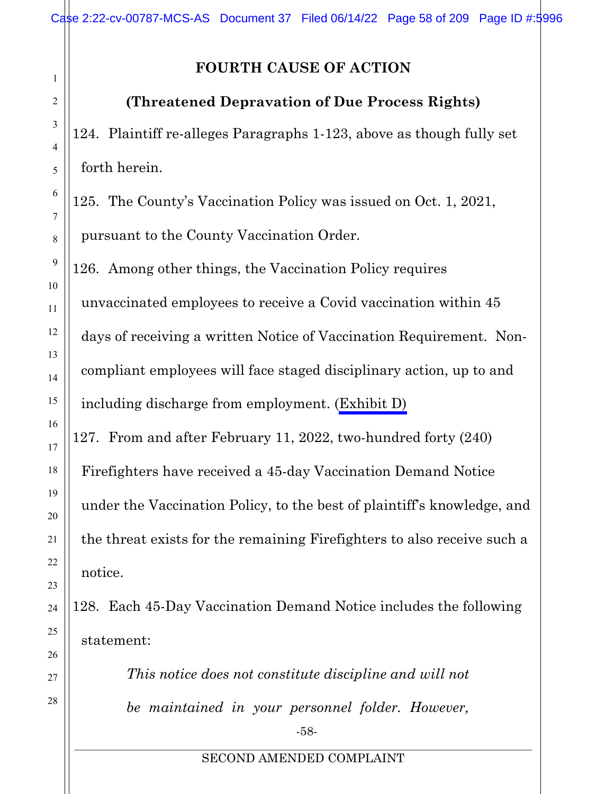# **FOURTH CAUSE OF ACTION**

# <span id="page-57-0"></span>**(Threatened Depravation of Due Process Rights)**

124. Plaintiff re-alleges Paragraphs 1-123, above as though fully set forth herein.

125. The County's Vaccination Policy was issued on Oct. 1, 2021, pursuant to the County Vaccination Order.

126. Among other things, the Vaccination Policy requires

unvaccinated employees to receive a Covid vaccination within 45 days of receiving a written Notice of Vaccination Requirement. Noncompliant employees will face staged disciplinary action, up to and including discharge from employment. (Exhibit D)

127. From and after February 11, 2022, two-hundred forty (240) Firefighters have received a 45-day Vaccination Demand Notice under the Vaccination Policy, to the best of plaintiff's knowledge, and the threat exists for the remaining Firefighters to also receive such a notice.

128. Each 45-Day Vaccination Demand Notice includes the following statement:

> -58- *This notice does not constitute discipline and will not be maintained in your personnel folder. However,*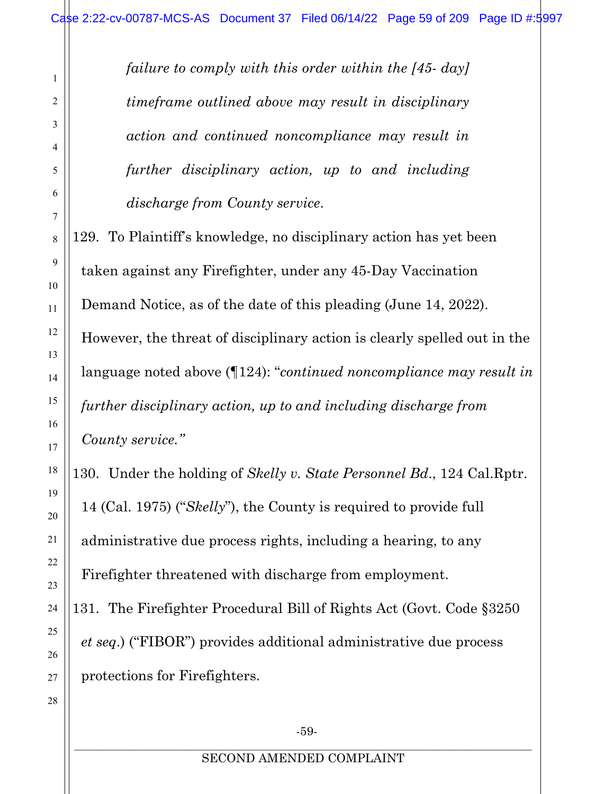*failure to comply with this order within the [45- day] timeframe outlined above may result in disciplinary action and continued noncompliance may result in further disciplinary action, up to and including discharge from County service*.

129. To Plaintiff's knowledge, no disciplinary action has yet been taken against any Firefighter, under any 45-Day Vaccination Demand Notice, as of the date of this pleading (June 14, 2022). However, the threat of disciplinary action is clearly spelled out in the language noted above (¶124): "*continued noncompliance may result in further disciplinary action, up to and including discharge from County service."*

130. Under the holding of *Skelly v. State Personnel Bd*., 124 Cal.Rptr. 14 (Cal. 1975) ("*Skelly*"), the County is required to provide full administrative due process rights, including a hearing, to any Firefighter threatened with discharge from employment.

131. The Firefighter Procedural Bill of Rights Act (Govt. Code §3250 *et seq*.) ("FIBOR") provides additional administrative due process protections for Firefighters.

1

2

3

4

5

6

7

8

9

10

11

12

13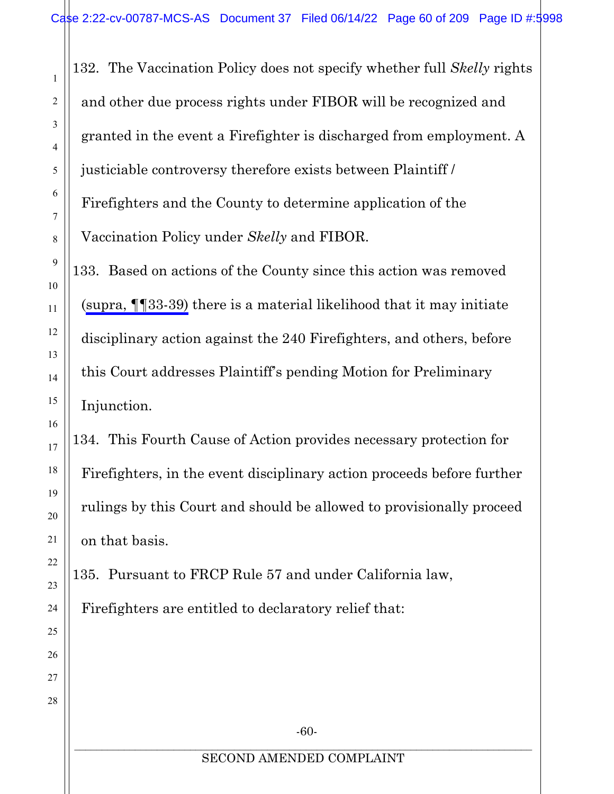132. The Vaccination Policy does not specify whether full *Skelly* rights and other due process rights under FIBOR will be recognized and granted in the event a Firefighter is discharged from employment. A justiciable controversy therefore exists between Plaintiff / Firefighters and the County to determine application of the Vaccination Policy under *Skelly* and FIBOR.

133. Based on actions of the County since this action was removed ([supra, ¶¶33-39\)](#page-15-2) there is a material likelihood that it may initiate disciplinary action against the 240 Firefighters, and others, before this Court addresses Plaintiff's pending Motion for Preliminary Injunction.

134. This Fourth Cause of Action provides necessary protection for Firefighters, in the event disciplinary action proceeds before further rulings by this Court and should be allowed to provisionally proceed on that basis.

135. Pursuant to FRCP Rule 57 and under California law, Firefighters are entitled to declaratory relief that:

-60-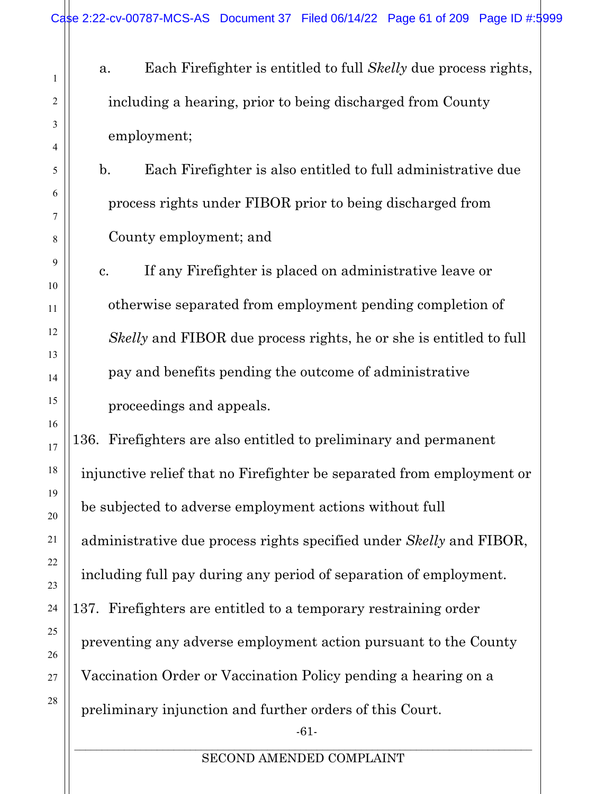a. Each Firefighter is entitled to full *Skelly* due process rights, including a hearing, prior to being discharged from County employment;

b. Each Firefighter is also entitled to full administrative due process rights under FIBOR prior to being discharged from County employment; and

c. If any Firefighter is placed on administrative leave or otherwise separated from employment pending completion of *Skelly* and FIBOR due process rights, he or she is entitled to full pay and benefits pending the outcome of administrative proceedings and appeals.

136. Firefighters are also entitled to preliminary and permanent injunctive relief that no Firefighter be separated from employment or be subjected to adverse employment actions without full administrative due process rights specified under *Skelly* and FIBOR, including full pay during any period of separation of employment. 137. Firefighters are entitled to a temporary restraining order preventing any adverse employment action pursuant to the County Vaccination Order or Vaccination Policy pending a hearing on a preliminary injunction and further orders of this Court.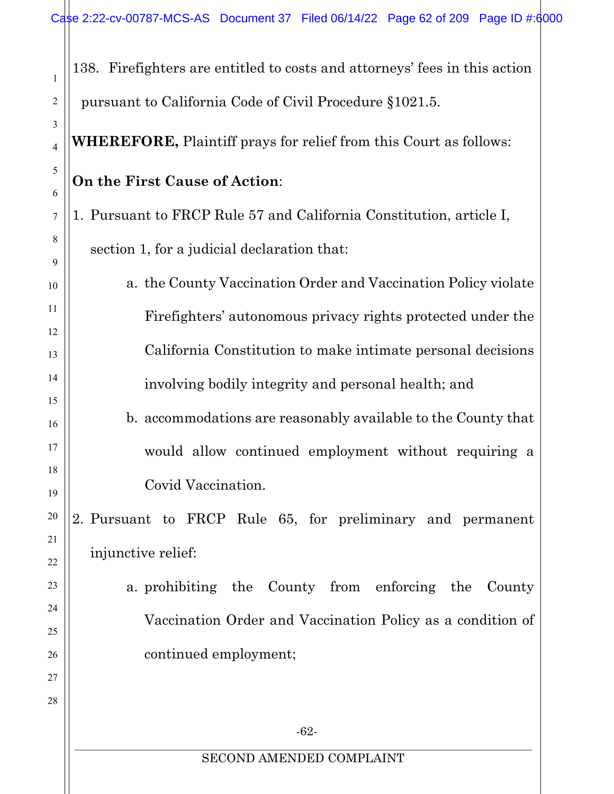| 1                             | 138. Fire fighters are entitled to costs and attorneys' fees in this action |
|-------------------------------|-----------------------------------------------------------------------------|
| 2                             | pursuant to California Code of Civil Procedure §1021.5.                     |
| 3<br>$\overline{\mathcal{L}}$ | <b>WHEREFORE,</b> Plaintiff prays for relief from this Court as follows:    |
| 5<br>6                        | On the First Cause of Action:                                               |
| 7                             | 1. Pursuant to FRCP Rule 57 and California Constitution, article I,         |
| 8                             | section 1, for a judicial declaration that:                                 |
| 9<br>10                       | a. the County Vaccination Order and Vaccination Policy violate              |
| 11                            | Firefighters' autonomous privacy rights protected under the                 |
| 12                            |                                                                             |
| 13                            | California Constitution to make intimate personal decisions                 |
| 14                            | involving bodily integrity and personal health; and                         |
| 15<br>16                      | b. accommodations are reasonably available to the County that               |
| 17                            | would allow continued employment without requiring a                        |
| 18                            | Covid Vaccination.                                                          |
| 19                            |                                                                             |
| 20                            | 2. Pursuant to FRCP Rule 65, for preliminary and permanent                  |
| 21<br>22                      | injunctive relief:                                                          |
| 23                            | a prohibiting the County from enforcing the<br>County                       |
| 24                            |                                                                             |
| 25                            | Vaccination Order and Vaccination Policy as a condition of                  |
| 26                            | continued employment;                                                       |
| 27                            |                                                                             |
| 28                            |                                                                             |
|                               | $-62-$                                                                      |
|                               | SECOND AMENDED COMPLAINT                                                    |
|                               |                                                                             |
|                               |                                                                             |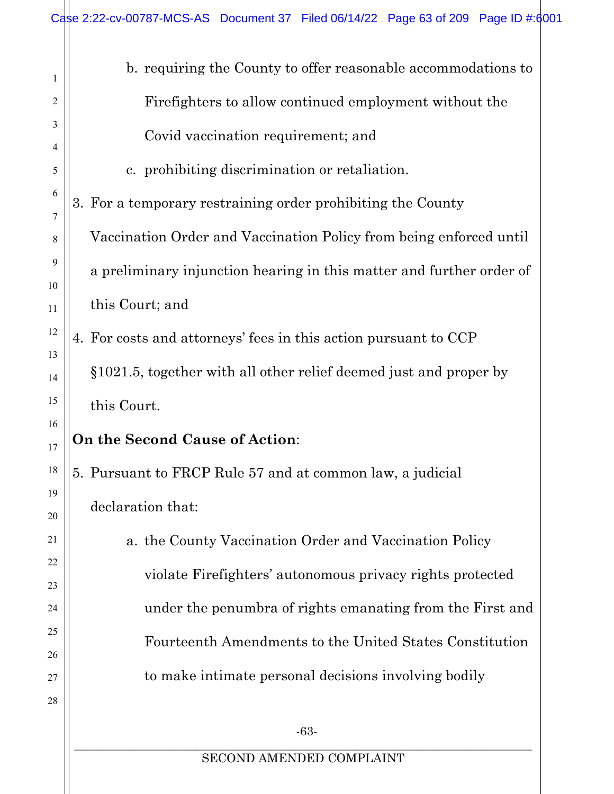| 1        | b. requiring the County to offer reasonable accommodations to        |
|----------|----------------------------------------------------------------------|
| 2        | Fire fighters to allow continued employment without the              |
| 3        | Covid vaccination requirement; and                                   |
| 4        |                                                                      |
| 5<br>6   | c. prohibiting discrimination or retaliation.                        |
| 7        | 3. For a temporary restraining order prohibiting the County          |
| 8        | Vaccination Order and Vaccination Policy from being enforced until   |
| 9        | a preliminary injunction hearing in this matter and further order of |
| 10<br>11 | this Court; and                                                      |
| 12       | 4. For costs and attorneys' fees in this action pursuant to CCP      |
| 13       |                                                                      |
| 14       | §1021.5, together with all other relief deemed just and proper by    |
| 15       | this Court.                                                          |
| 16<br>17 | <b>On the Second Cause of Action:</b>                                |
| 18       | 5. Pursuant to FRCP Rule 57 and at common law, a judicial            |
| 19<br>20 | declaration that:                                                    |
| 21       | a. the County Vaccination Order and Vaccination Policy               |
| 22       |                                                                      |
| 23       | violate Firefighters' autonomous privacy rights protected            |
| 24       | under the penumbra of rights emanating from the First and            |
| 25       | Fourteenth Amendments to the United States Constitution              |
| 26       |                                                                      |
| 27       | to make intimate personal decisions involving bodily                 |
| 28       |                                                                      |
|          | $-63-$                                                               |
|          | SECOND AMENDED COMPLAINT                                             |

 $\parallel$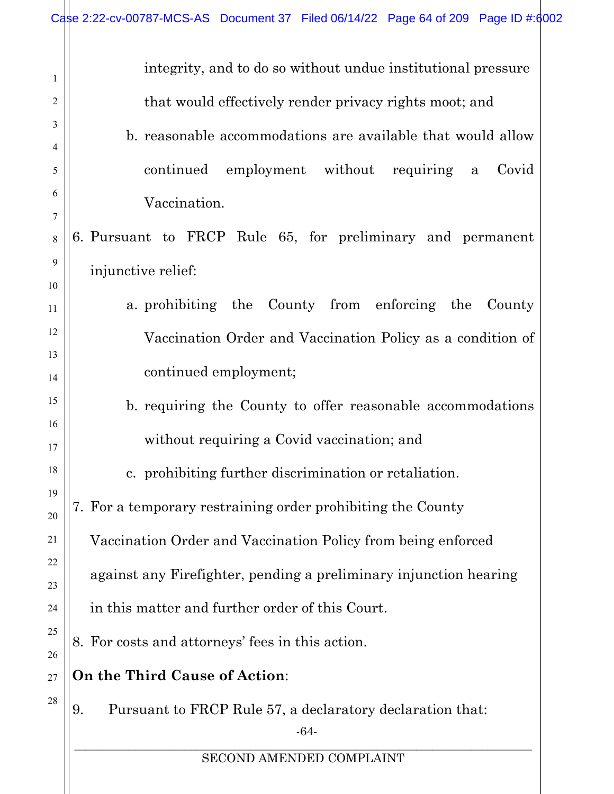|                                                                         | Case 2:22-cv-00787-MCS-AS Document 37 Filed 06/14/22 Page 64 of 209 Page ID #:6002                                                                                                                                                                                                                                                                           |
|-------------------------------------------------------------------------|--------------------------------------------------------------------------------------------------------------------------------------------------------------------------------------------------------------------------------------------------------------------------------------------------------------------------------------------------------------|
| $\mathbf{1}$<br>2<br>3<br>4<br>5<br>6<br>7<br>$8\phantom{.}$<br>9<br>10 | integrity, and to do so without undue institutional pressure<br>that would effectively render privacy rights moot; and<br>b. reasonable accommodations are available that would allow<br>continued employment without requiring<br>Covid<br>$\mathbf{a}$<br>Vaccination.<br>6. Pursuant to FRCP Rule 65, for preliminary and permanent<br>injunctive relief: |
| 11<br>12<br>13<br>14                                                    | a prohibiting the County from enforcing the<br>County<br>Vaccination Order and Vaccination Policy as a condition of<br>continued employment;                                                                                                                                                                                                                 |
| 15<br>16<br>17<br>18                                                    | b. requiring the County to offer reasonable accommodations<br>without requiring a Covid vaccination; and<br>c. prohibiting further discrimination or retaliation.                                                                                                                                                                                            |
| 19<br>20<br>21<br>22                                                    | 7. For a temporary restraining order prohibiting the County<br>Vaccination Order and Vaccination Policy from being enforced<br>against any Firefighter, pending a preliminary injunction hearing                                                                                                                                                             |
| 23<br>24<br>25<br>26                                                    | in this matter and further order of this Court.<br>8. For costs and attorneys' fees in this action.                                                                                                                                                                                                                                                          |
| 27<br>28                                                                | On the Third Cause of Action:<br>Pursuant to FRCP Rule 57, a declaratory declaration that:<br>9.<br>$-64-$                                                                                                                                                                                                                                                   |
|                                                                         | SECOND AMENDED COMPLAINT                                                                                                                                                                                                                                                                                                                                     |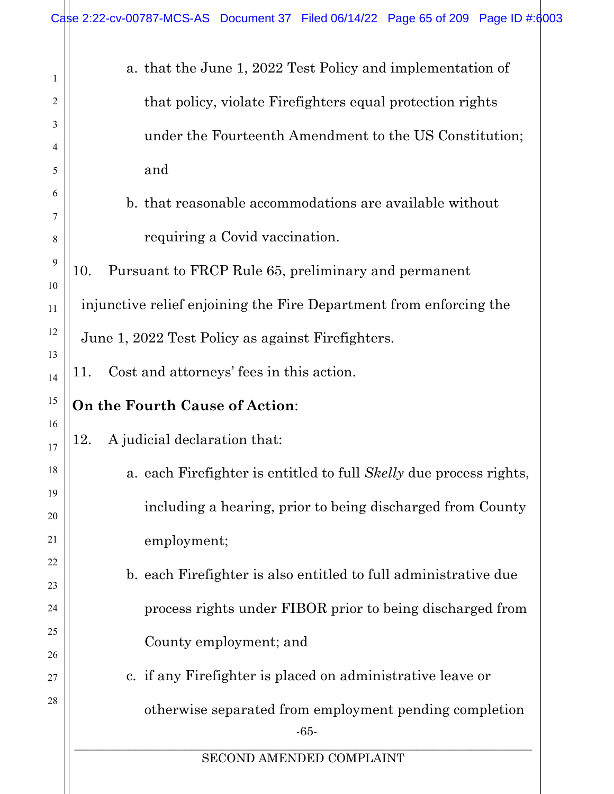$\mathbb{I}$ 

| 1        | a. that the June 1, 2022 Test Policy and implementation of                |
|----------|---------------------------------------------------------------------------|
| 2        | that policy, violate Firefighters equal protection rights                 |
| 3        | under the Fourteenth Amendment to the US Constitution;                    |
| 4        |                                                                           |
| 5        | and                                                                       |
| 6        | b. that reasonable accommodations are available without                   |
| 7<br>8   | requiring a Covid vaccination.                                            |
| 9        | Pursuant to FRCP Rule 65, preliminary and permanent<br>10.                |
| 10       |                                                                           |
| 11       | injunctive relief enjoining the Fire Department from enforcing the        |
| 12       | June 1, 2022 Test Policy as against Firefighters.                         |
| 13       | Cost and attorneys' fees in this action.<br>11.                           |
| 14       |                                                                           |
| 15<br>16 | On the Fourth Cause of Action:                                            |
| 17       | A judicial declaration that:<br>12.                                       |
| 18       | a. each Firefighter is entitled to full <i>Skelly</i> due process rights, |
| 19       | including a hearing, prior to being discharged from County                |
| 20       |                                                                           |
| 21       | employment;                                                               |
| 22       | b. each Firefighter is also entitled to full administrative due           |
| 23       |                                                                           |
| 24       | process rights under FIBOR prior to being discharged from                 |
| 25       | County employment; and                                                    |
| 26       | c. if any Firefighter is placed on administrative leave or                |
| 27<br>28 |                                                                           |
|          | otherwise separated from employment pending completion<br>$-65-$          |
|          | SECOND AMENDED COMPLAINT                                                  |
|          |                                                                           |
|          |                                                                           |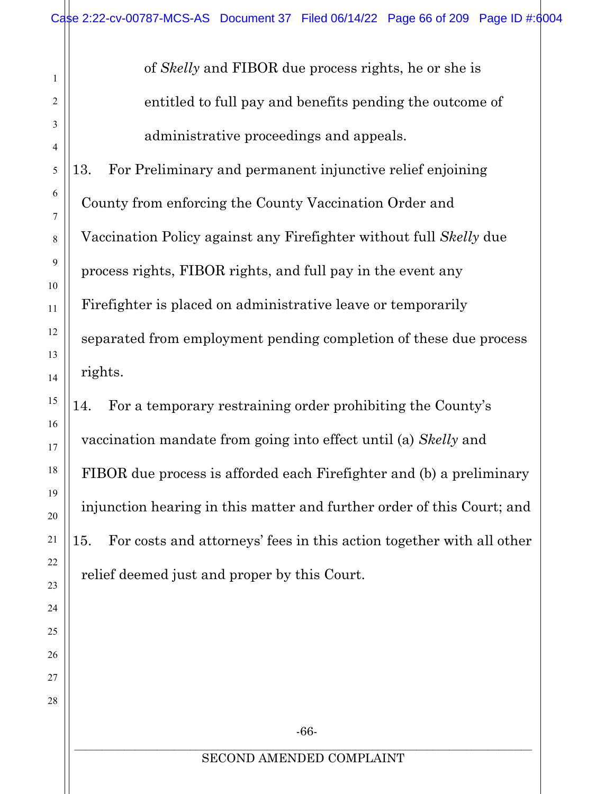of *Skelly* and FIBOR due process rights, he or she is entitled to full pay and benefits pending the outcome of administrative proceedings and appeals.

13. For Preliminary and permanent injunctive relief enjoining County from enforcing the County Vaccination Order and Vaccination Policy against any Firefighter without full *Skelly* due process rights, FIBOR rights, and full pay in the event any Firefighter is placed on administrative leave or temporarily separated from employment pending completion of these due process rights.

14. For a temporary restraining order prohibiting the County's vaccination mandate from going into effect until (a) *Skelly* and FIBOR due process is afforded each Firefighter and (b) a preliminary injunction hearing in this matter and further order of this Court; and 15. For costs and attorneys' fees in this action together with all other relief deemed just and proper by this Court.